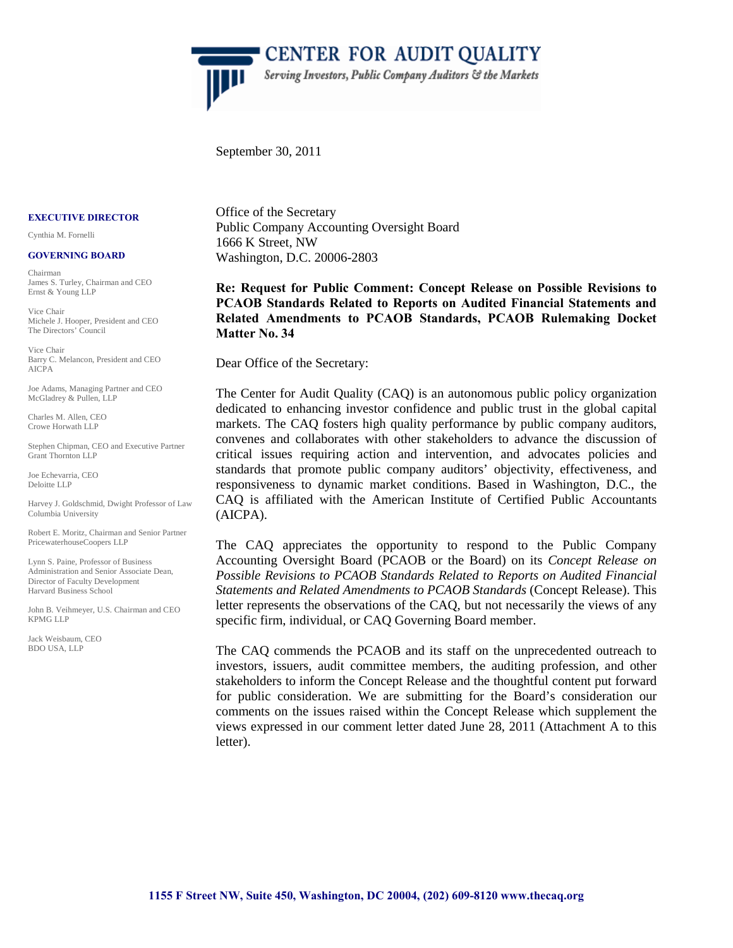

CENTER FOR AUDIT QUALITY Serving Investors, Public Company Auditors & the Markets

September 30, 2011

#### **EXECUTIVE DIRECTOR**

Cynthia M. Fornelli

#### **GOVERNING BOARD**

Chairman James S. Turley, Chairman and CEO Ernst & Young LLP

Vice Chair Michele J. Hooper, President and CEO The Directors' Council

Vice Chair Barry C. Melancon, President and CEO AICPA

Joe Adams, Managing Partner and CEO McGladrey & Pullen, LLP

Charles M. Allen, CEO Crowe Horwath LLP

Stephen Chipman, CEO and Executive Partner Grant Thornton LLP

Joe Echevarria, CEO Deloitte LLP

Harvey J. Goldschmid, Dwight Professor of Law Columbia University

Robert E. Moritz, Chairman and Senior Partner PricewaterhouseCoopers LLP

Lynn S. Paine, Professor of Business Administration and Senior Associate Dean, Director of Faculty Development Harvard Business School

John B. Veihmeyer, U.S. Chairman and CEO KPMG LLP

Jack Weisbaum, CEO BDO USA, LLP

Office of the Secretary Public Company Accounting Oversight Board 1666 K Street, NW Washington, D.C. 20006-2803

**Re: Request for Public Comment: Concept Release on Possible Revisions to PCAOB Standards Related to Reports on Audited Financial Statements and Related Amendments to PCAOB Standards, PCAOB Rulemaking Docket Matter No. 34** 

Dear Office of the Secretary:

The Center for Audit Quality (CAQ) is an autonomous public policy organization dedicated to enhancing investor confidence and public trust in the global capital markets. The CAQ fosters high quality performance by public company auditors, convenes and collaborates with other stakeholders to advance the discussion of critical issues requiring action and intervention, and advocates policies and standards that promote public company auditors' objectivity, effectiveness, and responsiveness to dynamic market conditions. Based in Washington, D.C., the CAQ is affiliated with the American Institute of Certified Public Accountants (AICPA).

The CAQ appreciates the opportunity to respond to the Public Company Accounting Oversight Board (PCAOB or the Board) on its *Concept Release on Possible Revisions to PCAOB Standards Related to Reports on Audited Financial Statements and Related Amendments to PCAOB Standards* (Concept Release). This letter represents the observations of the CAQ, but not necessarily the views of any specific firm, individual, or CAQ Governing Board member.

The CAQ commends the PCAOB and its staff on the unprecedented outreach to investors, issuers, audit committee members, the auditing profession, and other stakeholders to inform the Concept Release and the thoughtful content put forward for public consideration. We are submitting for the Board's consideration our comments on the issues raised within the Concept Release which supplement the views expressed in our comment letter dated June 28, 2011 (Attachment A to this letter).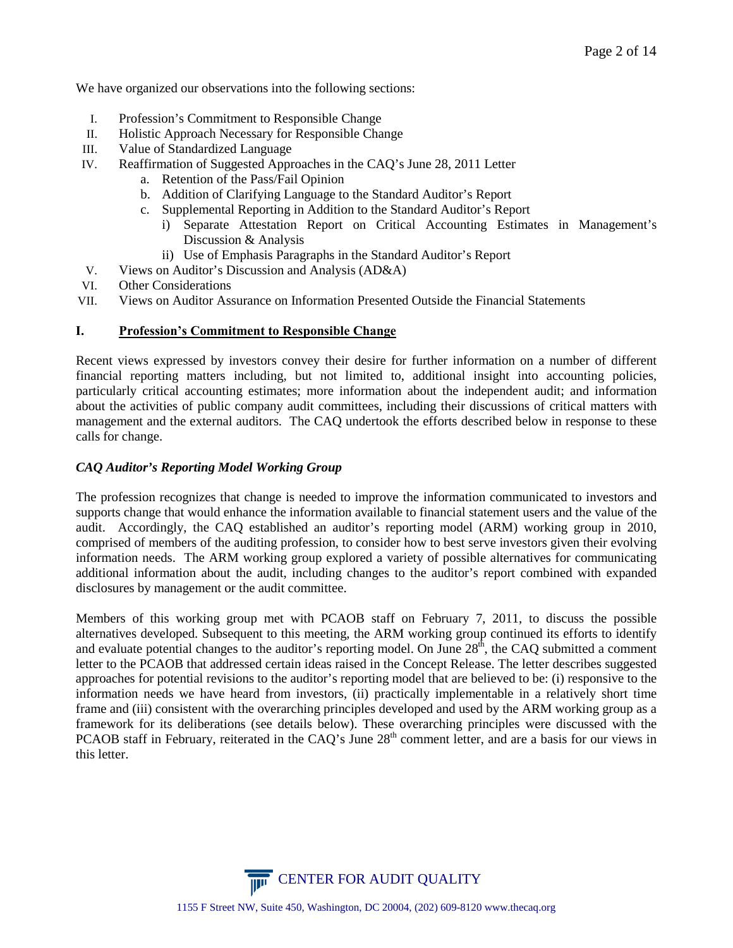We have organized our observations into the following sections:

- I. Profession's Commitment to Responsible Change
- II. Holistic Approach Necessary for Responsible Change
- III. Value of Standardized Language
- IV. Reaffirmation of Suggested Approaches in the CAQ's June 28, 2011 Letter
	- a. Retention of the Pass/Fail Opinion
	- b. Addition of Clarifying Language to the Standard Auditor's Report
	- c. Supplemental Reporting in Addition to the Standard Auditor's Report
		- i) Separate Attestation Report on Critical Accounting Estimates in Management's Discussion & Analysis
		- ii) Use of Emphasis Paragraphs in the Standard Auditor's Report
- V. Views on Auditor's Discussion and Analysis (AD&A)
- VI. Other Considerations
- VII. Views on Auditor Assurance on Information Presented Outside the Financial Statements

#### **I. Profession's Commitment to Responsible Change**

Recent views expressed by investors convey their desire for further information on a number of different financial reporting matters including, but not limited to, additional insight into accounting policies, particularly critical accounting estimates; more information about the independent audit; and information about the activities of public company audit committees, including their discussions of critical matters with management and the external auditors. The CAQ undertook the efforts described below in response to these calls for change.

#### *CAQ Auditor's Reporting Model Working Group*

The profession recognizes that change is needed to improve the information communicated to investors and supports change that would enhance the information available to financial statement users and the value of the audit. Accordingly, the CAQ established an auditor's reporting model (ARM) working group in 2010, comprised of members of the auditing profession, to consider how to best serve investors given their evolving information needs. The ARM working group explored a variety of possible alternatives for communicating additional information about the audit, including changes to the auditor's report combined with expanded disclosures by management or the audit committee.

Members of this working group met with PCAOB staff on February 7, 2011, to discuss the possible alternatives developed. Subsequent to this meeting, the ARM working group continued its efforts to identify and evaluate potential changes to the auditor's reporting model. On June  $28<sup>th</sup>$ , the CAQ submitted a comment letter to the PCAOB that addressed certain ideas raised in the Concept Release. The letter describes suggested approaches for potential revisions to the auditor's reporting model that are believed to be: (i) responsive to the information needs we have heard from investors, (ii) practically implementable in a relatively short time frame and (iii) consistent with the overarching principles developed and used by the ARM working group as a framework for its deliberations (see details below). These overarching principles were discussed with the PCAOB staff in February, reiterated in the CAQ's June 28<sup>th</sup> comment letter, and are a basis for our views in this letter.

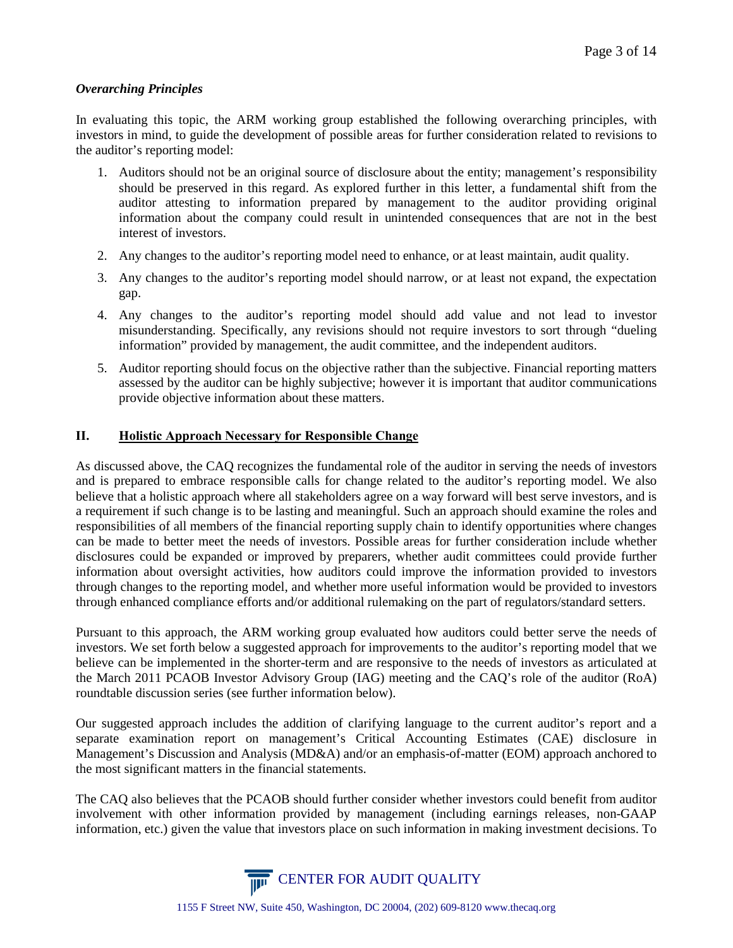#### *Overarching Principles*

In evaluating this topic, the ARM working group established the following overarching principles, with investors in mind, to guide the development of possible areas for further consideration related to revisions to the auditor's reporting model:

- 1. Auditors should not be an original source of disclosure about the entity; management's responsibility should be preserved in this regard. As explored further in this letter, a fundamental shift from the auditor attesting to information prepared by management to the auditor providing original information about the company could result in unintended consequences that are not in the best interest of investors.
- 2. Any changes to the auditor's reporting model need to enhance, or at least maintain, audit quality.
- 3. Any changes to the auditor's reporting model should narrow, or at least not expand, the expectation gap.
- 4. Any changes to the auditor's reporting model should add value and not lead to investor misunderstanding. Specifically, any revisions should not require investors to sort through "dueling information" provided by management, the audit committee, and the independent auditors.
- 5. Auditor reporting should focus on the objective rather than the subjective. Financial reporting matters assessed by the auditor can be highly subjective; however it is important that auditor communications provide objective information about these matters.

#### **II. Holistic Approach Necessary for Responsible Change**

As discussed above, the CAQ recognizes the fundamental role of the auditor in serving the needs of investors and is prepared to embrace responsible calls for change related to the auditor's reporting model. We also believe that a holistic approach where all stakeholders agree on a way forward will best serve investors, and is a requirement if such change is to be lasting and meaningful. Such an approach should examine the roles and responsibilities of all members of the financial reporting supply chain to identify opportunities where changes can be made to better meet the needs of investors. Possible areas for further consideration include whether disclosures could be expanded or improved by preparers, whether audit committees could provide further information about oversight activities, how auditors could improve the information provided to investors through changes to the reporting model, and whether more useful information would be provided to investors through enhanced compliance efforts and/or additional rulemaking on the part of regulators/standard setters.

Pursuant to this approach, the ARM working group evaluated how auditors could better serve the needs of investors. We set forth below a suggested approach for improvements to the auditor's reporting model that we believe can be implemented in the shorter-term and are responsive to the needs of investors as articulated at the March 2011 PCAOB Investor Advisory Group (IAG) meeting and the CAQ's role of the auditor (RoA) roundtable discussion series (see further information below).

Our suggested approach includes the addition of clarifying language to the current auditor's report and a separate examination report on management's Critical Accounting Estimates (CAE) disclosure in Management's Discussion and Analysis (MD&A) and/or an emphasis-of-matter (EOM) approach anchored to the most significant matters in the financial statements.

The CAQ also believes that the PCAOB should further consider whether investors could benefit from auditor involvement with other information provided by management (including earnings releases, non-GAAP information, etc.) given the value that investors place on such information in making investment decisions. To

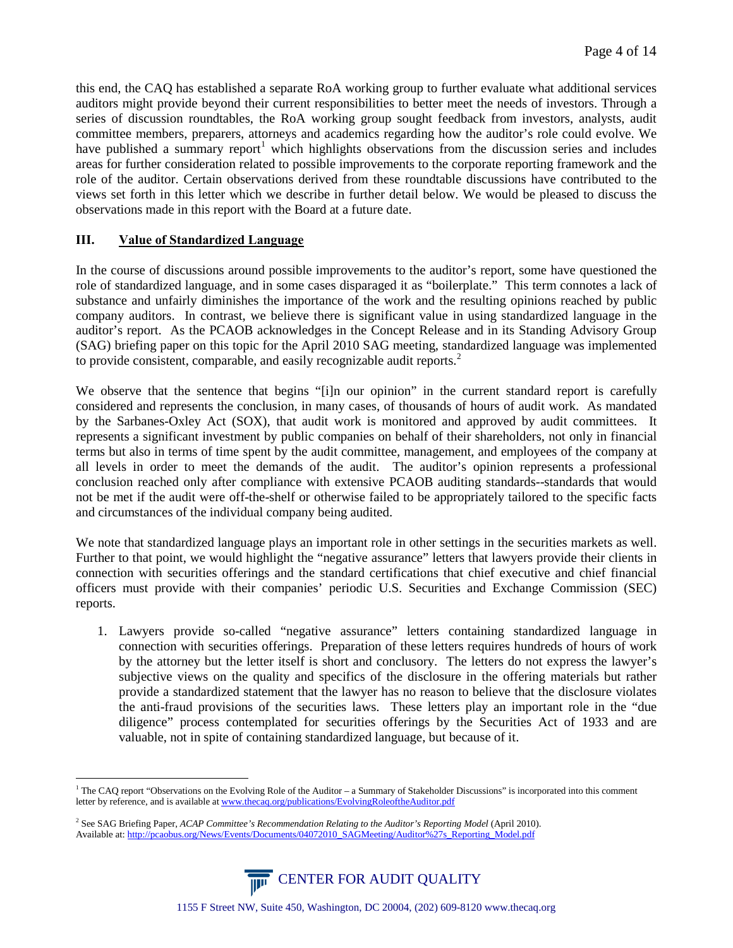this end, the CAQ has established a separate RoA working group to further evaluate what additional services auditors might provide beyond their current responsibilities to better meet the needs of investors. Through a series of discussion roundtables, the RoA working group sought feedback from investors, analysts, audit committee members, preparers, attorneys and academics regarding how the auditor's role could evolve. We have published a summary report<sup>[1](#page-3-0)</sup> which highlights observations from the discussion series and includes areas for further consideration related to possible improvements to the corporate reporting framework and the role of the auditor. Certain observations derived from these roundtable discussions have contributed to the views set forth in this letter which we describe in further detail below. We would be pleased to discuss the observations made in this report with the Board at a future date.

#### **III. Value of Standardized Language**

In the course of discussions around possible improvements to the auditor's report, some have questioned the role of standardized language, and in some cases disparaged it as "boilerplate." This term connotes a lack of substance and unfairly diminishes the importance of the work and the resulting opinions reached by public company auditors. In contrast, we believe there is significant value in using standardized language in the auditor's report. As the PCAOB acknowledges in the Concept Release and in its Standing Advisory Group (SAG) briefing paper on this topic for the April 2010 SAG meeting, standardized language was implemented to provide consistent, comparable, and easily recognizable audit reports.<sup>[2](#page-3-1)</sup>

We observe that the sentence that begins "[i]n our opinion" in the current standard report is carefully considered and represents the conclusion, in many cases, of thousands of hours of audit work. As mandated by the Sarbanes-Oxley Act (SOX), that audit work is monitored and approved by audit committees. It represents a significant investment by public companies on behalf of their shareholders, not only in financial terms but also in terms of time spent by the audit committee, management, and employees of the company at all levels in order to meet the demands of the audit. The auditor's opinion represents a professional conclusion reached only after compliance with extensive PCAOB auditing standards--standards that would not be met if the audit were off-the-shelf or otherwise failed to be appropriately tailored to the specific facts and circumstances of the individual company being audited.

We note that standardized language plays an important role in other settings in the securities markets as well. Further to that point, we would highlight the "negative assurance" letters that lawyers provide their clients in connection with securities offerings and the standard certifications that chief executive and chief financial officers must provide with their companies' periodic U.S. Securities and Exchange Commission (SEC) reports.

1. Lawyers provide so-called "negative assurance" letters containing standardized language in connection with securities offerings. Preparation of these letters requires hundreds of hours of work by the attorney but the letter itself is short and conclusory. The letters do not express the lawyer's subjective views on the quality and specifics of the disclosure in the offering materials but rather provide a standardized statement that the lawyer has no reason to believe that the disclosure violates the anti-fraud provisions of the securities laws. These letters play an important role in the "due diligence" process contemplated for securities offerings by the Securities Act of 1933 and are valuable, not in spite of containing standardized language, but because of it.

<span id="page-3-1"></span><sup>2</sup> See SAG Briefing Paper, *ACAP Committee's Recommendation Relating to the Auditor's Reporting Model* (April 2010). Available at[: http://pcaobus.org/News/Events/Documents/04072010\\_SAGMeeting/Auditor%27s\\_Reporting\\_Model.pdf](http://pcaobus.org/News/Events/Documents/04072010_SAGMeeting/Auditor%27s_Reporting_Model.pdf)



<span id="page-3-0"></span> $<sup>1</sup>$  The CAQ report "Observations on the Evolving Role of the Auditor – a Summary of Stakeholder Discussions" is incorporated into this comment</sup> letter by reference, and is available a[t www.thecaq.org/publications/EvolvingRoleoftheAuditor.pdf](http://www.thecaq.org/publications/EvolvingRoleoftheAuditor.pdf)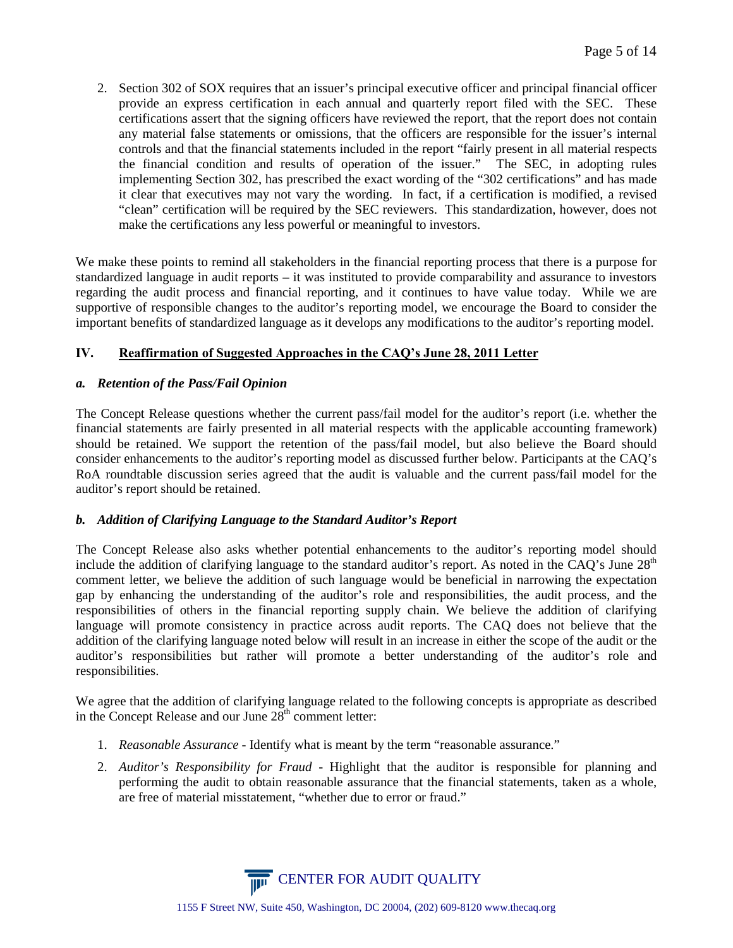2. Section 302 of SOX requires that an issuer's principal executive officer and principal financial officer provide an express certification in each annual and quarterly report filed with the SEC. These certifications assert that the signing officers have reviewed the report, that the report does not contain any material false statements or omissions, that the officers are responsible for the issuer's internal controls and that the financial statements included in the report "fairly present in all material respects the financial condition and results of operation of the issuer." The SEC, in adopting rules implementing Section 302, has prescribed the exact wording of the "302 certifications" and has made it clear that executives may not vary the wording. In fact, if a certification is modified, a revised "clean" certification will be required by the SEC reviewers. This standardization, however, does not make the certifications any less powerful or meaningful to investors.

We make these points to remind all stakeholders in the financial reporting process that there is a purpose for standardized language in audit reports – it was instituted to provide comparability and assurance to investors regarding the audit process and financial reporting, and it continues to have value today. While we are supportive of responsible changes to the auditor's reporting model, we encourage the Board to consider the important benefits of standardized language as it develops any modifications to the auditor's reporting model.

## **IV. Reaffirmation of Suggested Approaches in the CAQ's June 28, 2011 Letter**

#### *a. Retention of the Pass/Fail Opinion*

The Concept Release questions whether the current pass/fail model for the auditor's report (i.e. whether the financial statements are fairly presented in all material respects with the applicable accounting framework) should be retained. We support the retention of the pass/fail model, but also believe the Board should consider enhancements to the auditor's reporting model as discussed further below. Participants at the CAQ's RoA roundtable discussion series agreed that the audit is valuable and the current pass/fail model for the auditor's report should be retained.

#### *b. Addition of Clarifying Language to the Standard Auditor's Report*

The Concept Release also asks whether potential enhancements to the auditor's reporting model should include the addition of clarifying language to the standard auditor's report. As noted in the CAQ's June  $28<sup>th</sup>$ comment letter, we believe the addition of such language would be beneficial in narrowing the expectation gap by enhancing the understanding of the auditor's role and responsibilities, the audit process, and the responsibilities of others in the financial reporting supply chain. We believe the addition of clarifying language will promote consistency in practice across audit reports. The CAQ does not believe that the addition of the clarifying language noted below will result in an increase in either the scope of the audit or the auditor's responsibilities but rather will promote a better understanding of the auditor's role and responsibilities.

We agree that the addition of clarifying language related to the following concepts is appropriate as described in the Concept Release and our June  $28<sup>th</sup>$  comment letter:

- 1. *Reasonable Assurance* Identify what is meant by the term "reasonable assurance."
- 2. *Auditor's Responsibility for Fraud* Highlight that the auditor is responsible for planning and performing the audit to obtain reasonable assurance that the financial statements, taken as a whole, are free of material misstatement, "whether due to error or fraud."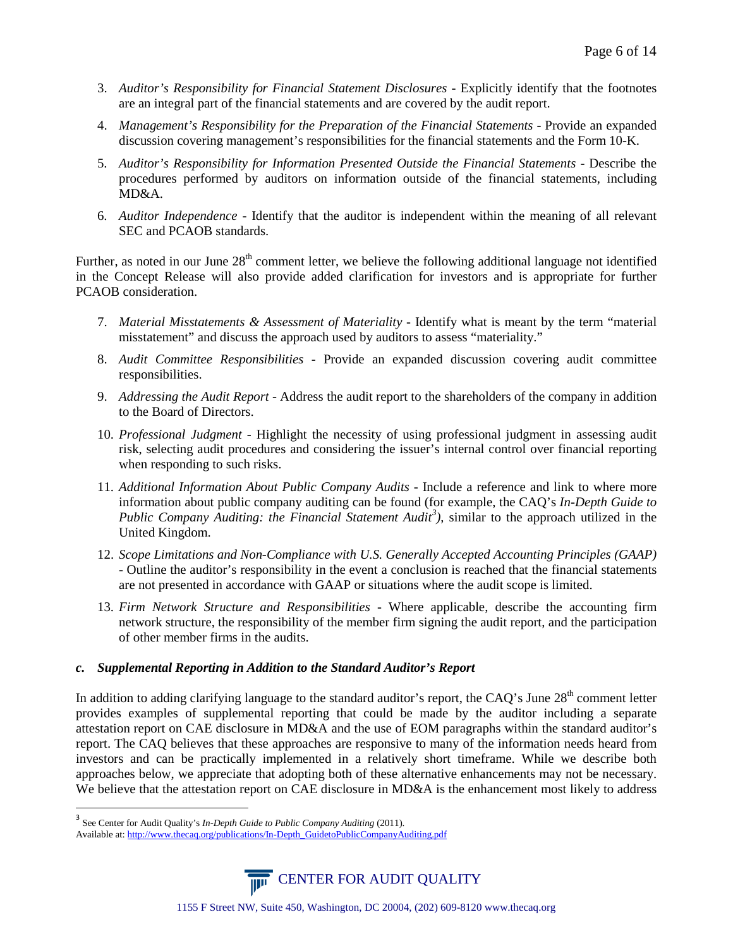- 3. *Auditor's Responsibility for Financial Statement Disclosures -* Explicitly identify that the footnotes are an integral part of the financial statements and are covered by the audit report.
- 4. *Management's Responsibility for the Preparation of the Financial Statements* Provide an expanded discussion covering management's responsibilities for the financial statements and the Form 10-K.
- 5. *Auditor's Responsibility for Information Presented Outside the Financial Statements* Describe the procedures performed by auditors on information outside of the financial statements, including MD&A.
- 6. *Auditor Independence* Identify that the auditor is independent within the meaning of all relevant SEC and PCAOB standards.

Further, as noted in our June  $28<sup>th</sup>$  comment letter, we believe the following additional language not identified in the Concept Release will also provide added clarification for investors and is appropriate for further PCAOB consideration.

- 7. *Material Misstatements & Assessment of Materiality* Identify what is meant by the term "material misstatement" and discuss the approach used by auditors to assess "materiality."
- 8. *Audit Committee Responsibilities -* Provide an expanded discussion covering audit committee responsibilities.
- 9. *Addressing the Audit Report* Address the audit report to the shareholders of the company in addition to the Board of Directors.
- 10. *Professional Judgment* Highlight the necessity of using professional judgment in assessing audit risk, selecting audit procedures and considering the issuer's internal control over financial reporting when responding to such risks.
- 11. *Additional Information About Public Company Audits* Include a reference and link to where more information about public company auditing can be found (for example, the CAQ's *In-Depth Guide to Public Company Auditing: the Financial Statement Audit[3](#page-5-0) )*, similar to the approach utilized in the United Kingdom.
- 12. *Scope Limitations and Non-Compliance with U.S. Generally Accepted Accounting Principles (GAAP)* - Outline the auditor's responsibility in the event a conclusion is reached that the financial statements are not presented in accordance with GAAP or situations where the audit scope is limited.
- 13. *Firm Network Structure and Responsibilities -* Where applicable, describe the accounting firm network structure, the responsibility of the member firm signing the audit report, and the participation of other member firms in the audits.

## *c. Supplemental Reporting in Addition to the Standard Auditor's Report*

In addition to adding clarifying language to the standard auditor's report, the CAO's June  $28<sup>th</sup>$  comment letter provides examples of supplemental reporting that could be made by the auditor including a separate attestation report on CAE disclosure in MD&A and the use of EOM paragraphs within the standard auditor's report. The CAQ believes that these approaches are responsive to many of the information needs heard from investors and can be practically implemented in a relatively short timeframe. While we describe both approaches below, we appreciate that adopting both of these alternative enhancements may not be necessary. We believe that the attestation report on CAE disclosure in MD&A is the enhancement most likely to address

<span id="page-5-0"></span><sup>3</sup> See Center for Audit Quality's *In-Depth Guide to Public Company Auditing* (2011). Available at[: http://www.thecaq.org/publications/In-Depth\\_GuidetoPublicCompanyAuditing.pdf](http://www.thecaq.org/publications/In-Depth_GuidetoPublicCompanyAuditing.pdf)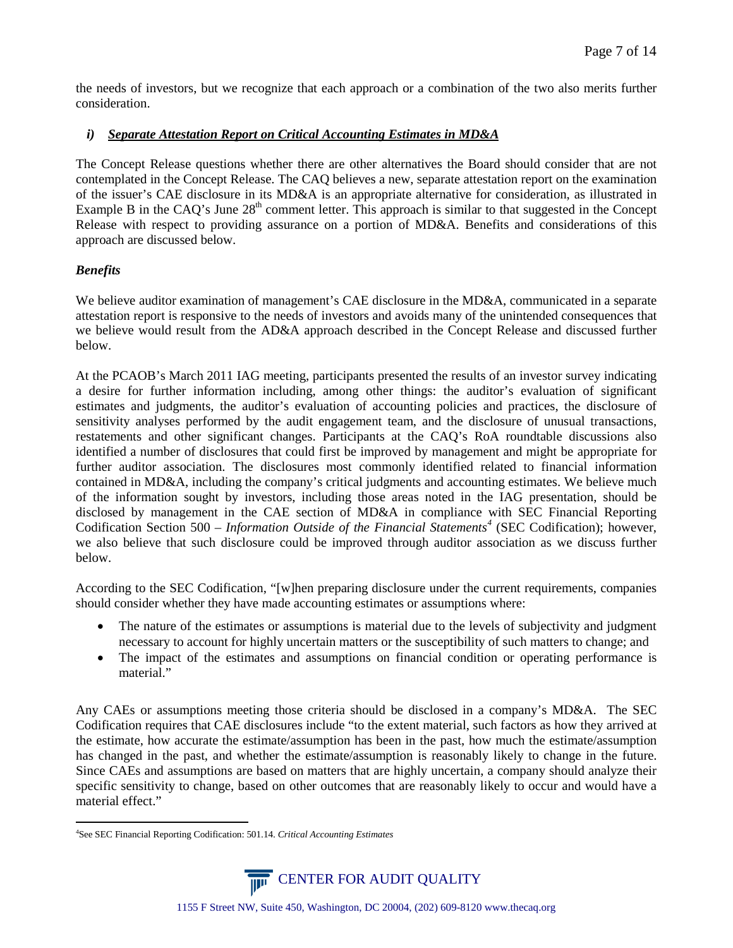the needs of investors, but we recognize that each approach or a combination of the two also merits further consideration.

#### *i) Separate Attestation Report on Critical Accounting Estimates in MD&A*

The Concept Release questions whether there are other alternatives the Board should consider that are not contemplated in the Concept Release. The CAQ believes a new, separate attestation report on the examination of the issuer's CAE disclosure in its MD&A is an appropriate alternative for consideration, as illustrated in Example B in the CAQ's June  $28<sup>th</sup>$  comment letter. This approach is similar to that suggested in the Concept Release with respect to providing assurance on a portion of MD&A. Benefits and considerations of this approach are discussed below.

## *Benefits*

We believe auditor examination of management's CAE disclosure in the MD&A, communicated in a separate attestation report is responsive to the needs of investors and avoids many of the unintended consequences that we believe would result from the AD&A approach described in the Concept Release and discussed further below.

At the PCAOB's March 2011 IAG meeting, participants presented the results of an investor survey indicating a desire for further information including, among other things: the auditor's evaluation of significant estimates and judgments, the auditor's evaluation of accounting policies and practices, the disclosure of sensitivity analyses performed by the audit engagement team, and the disclosure of unusual transactions, restatements and other significant changes. Participants at the CAQ's RoA roundtable discussions also identified a number of disclosures that could first be improved by management and might be appropriate for further auditor association. The disclosures most commonly identified related to financial information contained in MD&A, including the company's critical judgments and accounting estimates. We believe much of the information sought by investors, including those areas noted in the IAG presentation, should be disclosed by management in the CAE section of MD&A in compliance with SEC Financial Reporting Codification Section 500 – *Information Outside of the Financial Statements[4](#page-6-0)* (SEC Codification); however, we also believe that such disclosure could be improved through auditor association as we discuss further below.

According to the SEC Codification, "[w]hen preparing disclosure under the current requirements, companies should consider whether they have made accounting estimates or assumptions where:

- The nature of the estimates or assumptions is material due to the levels of subjectivity and judgment necessary to account for highly uncertain matters or the susceptibility of such matters to change; and
- The impact of the estimates and assumptions on financial condition or operating performance is material."

Any CAEs or assumptions meeting those criteria should be disclosed in a company's MD&A. The SEC Codification requires that CAE disclosures include "to the extent material, such factors as how they arrived at the estimate, how accurate the estimate/assumption has been in the past, how much the estimate/assumption has changed in the past, and whether the estimate/assumption is reasonably likely to change in the future. Since CAEs and assumptions are based on matters that are highly uncertain, a company should analyze their specific sensitivity to change, based on other outcomes that are reasonably likely to occur and would have a material effect."

<span id="page-6-0"></span> $\frac{1}{4}$ See SEC Financial Reporting Codification: 501.14. *Critical Accounting Estimates*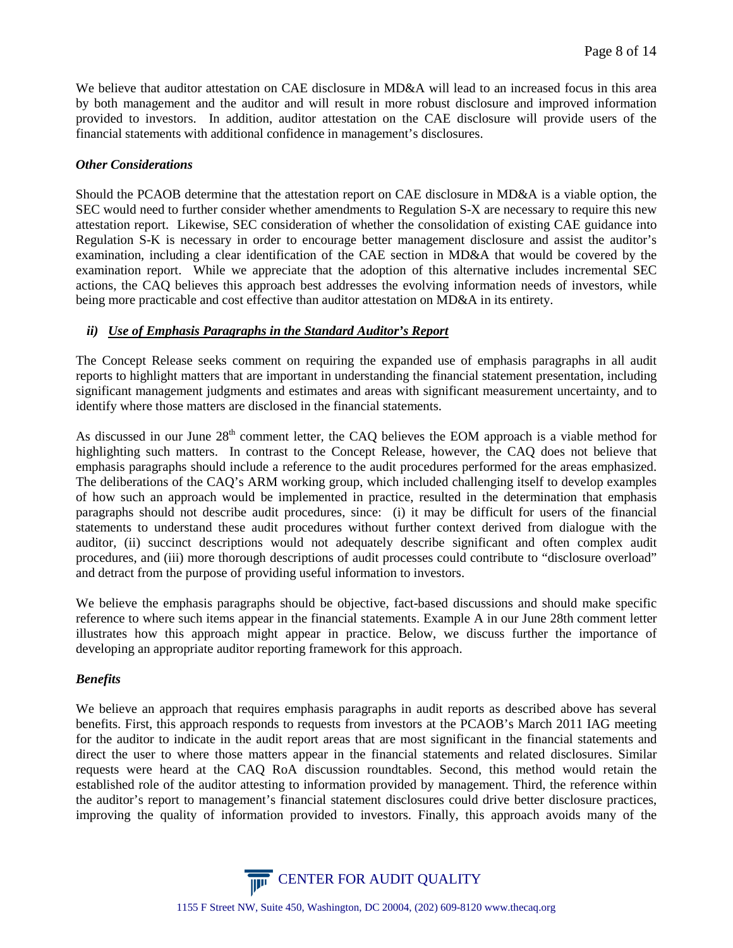We believe that auditor attestation on CAE disclosure in MD&A will lead to an increased focus in this area by both management and the auditor and will result in more robust disclosure and improved information provided to investors. In addition, auditor attestation on the CAE disclosure will provide users of the financial statements with additional confidence in management's disclosures.

#### *Other Considerations*

Should the PCAOB determine that the attestation report on CAE disclosure in MD&A is a viable option, the SEC would need to further consider whether amendments to Regulation S-X are necessary to require this new attestation report. Likewise, SEC consideration of whether the consolidation of existing CAE guidance into Regulation S-K is necessary in order to encourage better management disclosure and assist the auditor's examination, including a clear identification of the CAE section in MD&A that would be covered by the examination report. While we appreciate that the adoption of this alternative includes incremental SEC actions, the CAQ believes this approach best addresses the evolving information needs of investors, while being more practicable and cost effective than auditor attestation on MD&A in its entirety.

#### *ii) Use of Emphasis Paragraphs in the Standard Auditor's Report*

The Concept Release seeks comment on requiring the expanded use of emphasis paragraphs in all audit reports to highlight matters that are important in understanding the financial statement presentation, including significant management judgments and estimates and areas with significant measurement uncertainty, and to identify where those matters are disclosed in the financial statements.

As discussed in our June 28<sup>th</sup> comment letter, the CAQ believes the EOM approach is a viable method for highlighting such matters. In contrast to the Concept Release, however, the CAQ does not believe that emphasis paragraphs should include a reference to the audit procedures performed for the areas emphasized. The deliberations of the CAQ's ARM working group, which included challenging itself to develop examples of how such an approach would be implemented in practice, resulted in the determination that emphasis paragraphs should not describe audit procedures, since: (i) it may be difficult for users of the financial statements to understand these audit procedures without further context derived from dialogue with the auditor, (ii) succinct descriptions would not adequately describe significant and often complex audit procedures, and (iii) more thorough descriptions of audit processes could contribute to "disclosure overload" and detract from the purpose of providing useful information to investors.

We believe the emphasis paragraphs should be objective, fact-based discussions and should make specific reference to where such items appear in the financial statements. Example A in our June 28th comment letter illustrates how this approach might appear in practice. Below, we discuss further the importance of developing an appropriate auditor reporting framework for this approach.

#### *Benefits*

We believe an approach that requires emphasis paragraphs in audit reports as described above has several benefits. First, this approach responds to requests from investors at the PCAOB's March 2011 IAG meeting for the auditor to indicate in the audit report areas that are most significant in the financial statements and direct the user to where those matters appear in the financial statements and related disclosures. Similar requests were heard at the CAQ RoA discussion roundtables. Second, this method would retain the established role of the auditor attesting to information provided by management. Third, the reference within the auditor's report to management's financial statement disclosures could drive better disclosure practices, improving the quality of information provided to investors. Finally, this approach avoids many of the

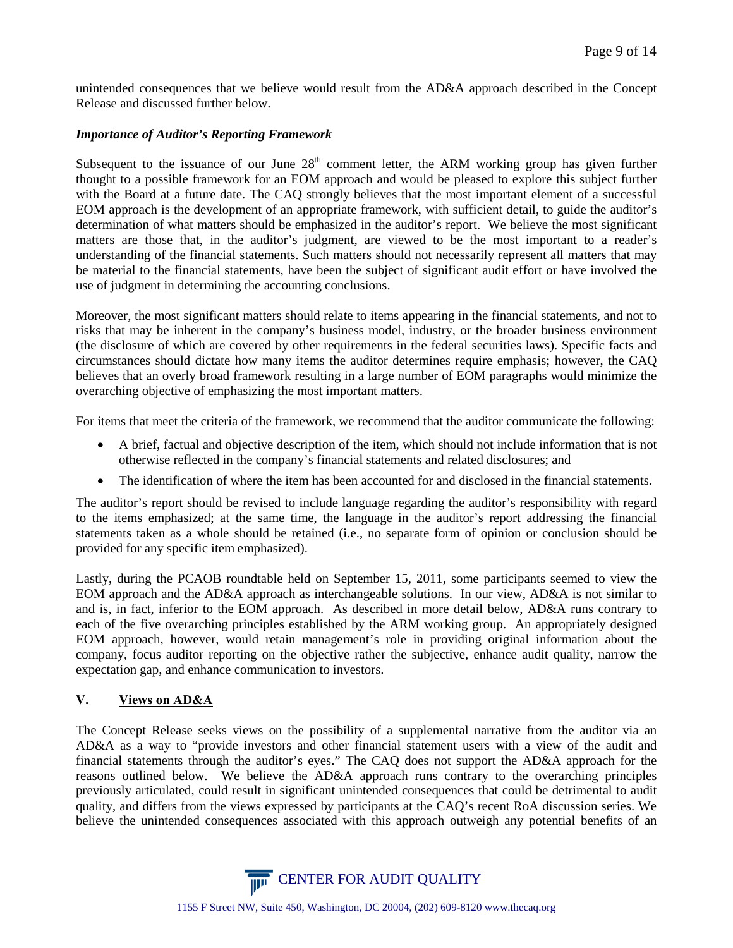unintended consequences that we believe would result from the AD&A approach described in the Concept Release and discussed further below.

#### *Importance of Auditor's Reporting Framework*

Subsequent to the issuance of our June  $28<sup>th</sup>$  comment letter, the ARM working group has given further thought to a possible framework for an EOM approach and would be pleased to explore this subject further with the Board at a future date. The CAQ strongly believes that the most important element of a successful EOM approach is the development of an appropriate framework, with sufficient detail, to guide the auditor's determination of what matters should be emphasized in the auditor's report. We believe the most significant matters are those that, in the auditor's judgment, are viewed to be the most important to a reader's understanding of the financial statements. Such matters should not necessarily represent all matters that may be material to the financial statements, have been the subject of significant audit effort or have involved the use of judgment in determining the accounting conclusions.

Moreover, the most significant matters should relate to items appearing in the financial statements, and not to risks that may be inherent in the company's business model, industry, or the broader business environment (the disclosure of which are covered by other requirements in the federal securities laws). Specific facts and circumstances should dictate how many items the auditor determines require emphasis; however, the CAQ believes that an overly broad framework resulting in a large number of EOM paragraphs would minimize the overarching objective of emphasizing the most important matters.

For items that meet the criteria of the framework, we recommend that the auditor communicate the following:

- A brief, factual and objective description of the item, which should not include information that is not otherwise reflected in the company's financial statements and related disclosures; and
- The identification of where the item has been accounted for and disclosed in the financial statements.

The auditor's report should be revised to include language regarding the auditor's responsibility with regard to the items emphasized; at the same time, the language in the auditor's report addressing the financial statements taken as a whole should be retained (i.e., no separate form of opinion or conclusion should be provided for any specific item emphasized).

Lastly, during the PCAOB roundtable held on September 15, 2011, some participants seemed to view the EOM approach and the AD&A approach as interchangeable solutions. In our view, AD&A is not similar to and is, in fact, inferior to the EOM approach. As described in more detail below, AD&A runs contrary to each of the five overarching principles established by the ARM working group. An appropriately designed EOM approach, however, would retain management's role in providing original information about the company, focus auditor reporting on the objective rather the subjective, enhance audit quality, narrow the expectation gap, and enhance communication to investors.

## **V. Views on AD&A**

The Concept Release seeks views on the possibility of a supplemental narrative from the auditor via an AD&A as a way to "provide investors and other financial statement users with a view of the audit and financial statements through the auditor's eyes." The CAQ does not support the AD&A approach for the reasons outlined below. We believe the AD&A approach runs contrary to the overarching principles previously articulated, could result in significant unintended consequences that could be detrimental to audit quality, and differs from the views expressed by participants at the CAQ's recent RoA discussion series. We believe the unintended consequences associated with this approach outweigh any potential benefits of an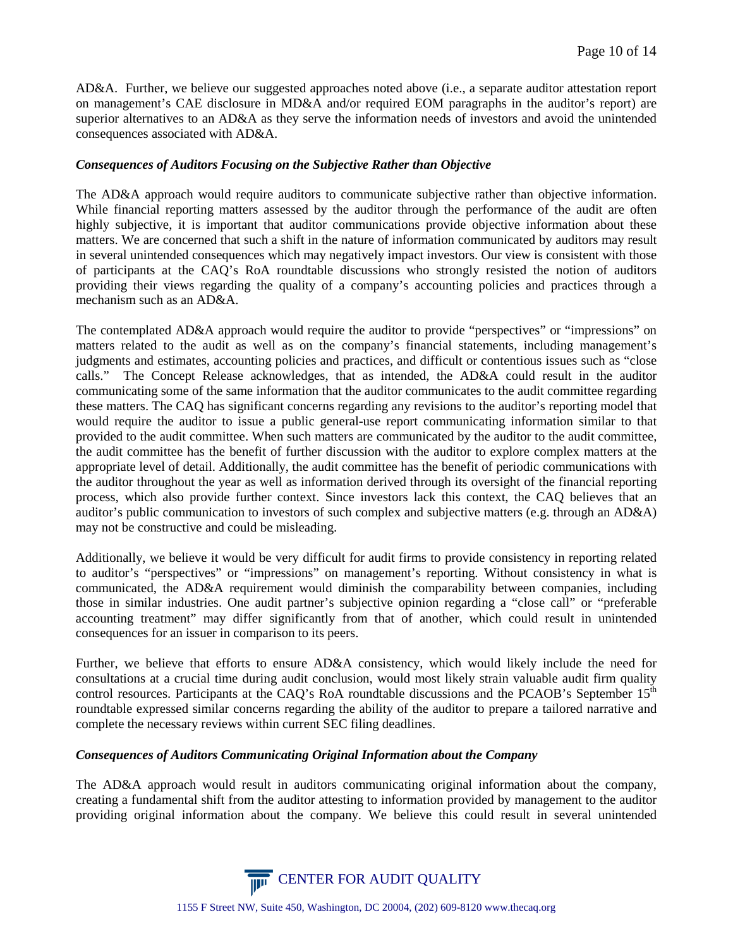AD&A. Further, we believe our suggested approaches noted above (i.e., a separate auditor attestation report on management's CAE disclosure in MD&A and/or required EOM paragraphs in the auditor's report) are superior alternatives to an AD&A as they serve the information needs of investors and avoid the unintended consequences associated with AD&A.

#### *Consequences of Auditors Focusing on the Subjective Rather than Objective*

The AD&A approach would require auditors to communicate subjective rather than objective information. While financial reporting matters assessed by the auditor through the performance of the audit are often highly subjective, it is important that auditor communications provide objective information about these matters. We are concerned that such a shift in the nature of information communicated by auditors may result in several unintended consequences which may negatively impact investors. Our view is consistent with those of participants at the CAQ's RoA roundtable discussions who strongly resisted the notion of auditors providing their views regarding the quality of a company's accounting policies and practices through a mechanism such as an AD&A.

The contemplated AD&A approach would require the auditor to provide "perspectives" or "impressions" on matters related to the audit as well as on the company's financial statements, including management's judgments and estimates, accounting policies and practices, and difficult or contentious issues such as "close calls." The Concept Release acknowledges, that as intended, the AD&A could result in the auditor communicating some of the same information that the auditor communicates to the audit committee regarding these matters. The CAQ has significant concerns regarding any revisions to the auditor's reporting model that would require the auditor to issue a public general-use report communicating information similar to that provided to the audit committee. When such matters are communicated by the auditor to the audit committee, the audit committee has the benefit of further discussion with the auditor to explore complex matters at the appropriate level of detail. Additionally, the audit committee has the benefit of periodic communications with the auditor throughout the year as well as information derived through its oversight of the financial reporting process, which also provide further context. Since investors lack this context, the CAQ believes that an auditor's public communication to investors of such complex and subjective matters (e.g. through an AD&A) may not be constructive and could be misleading.

Additionally, we believe it would be very difficult for audit firms to provide consistency in reporting related to auditor's "perspectives" or "impressions" on management's reporting. Without consistency in what is communicated, the AD&A requirement would diminish the comparability between companies, including those in similar industries. One audit partner's subjective opinion regarding a "close call" or "preferable accounting treatment" may differ significantly from that of another, which could result in unintended consequences for an issuer in comparison to its peers.

Further, we believe that efforts to ensure AD&A consistency, which would likely include the need for consultations at a crucial time during audit conclusion, would most likely strain valuable audit firm quality control resources. Participants at the CAQ's RoA roundtable discussions and the PCAOB's September 15<sup>th</sup> roundtable expressed similar concerns regarding the ability of the auditor to prepare a tailored narrative and complete the necessary reviews within current SEC filing deadlines.

#### *Consequences of Auditors Communicating Original Information about the Company*

The AD&A approach would result in auditors communicating original information about the company, creating a fundamental shift from the auditor attesting to information provided by management to the auditor providing original information about the company. We believe this could result in several unintended

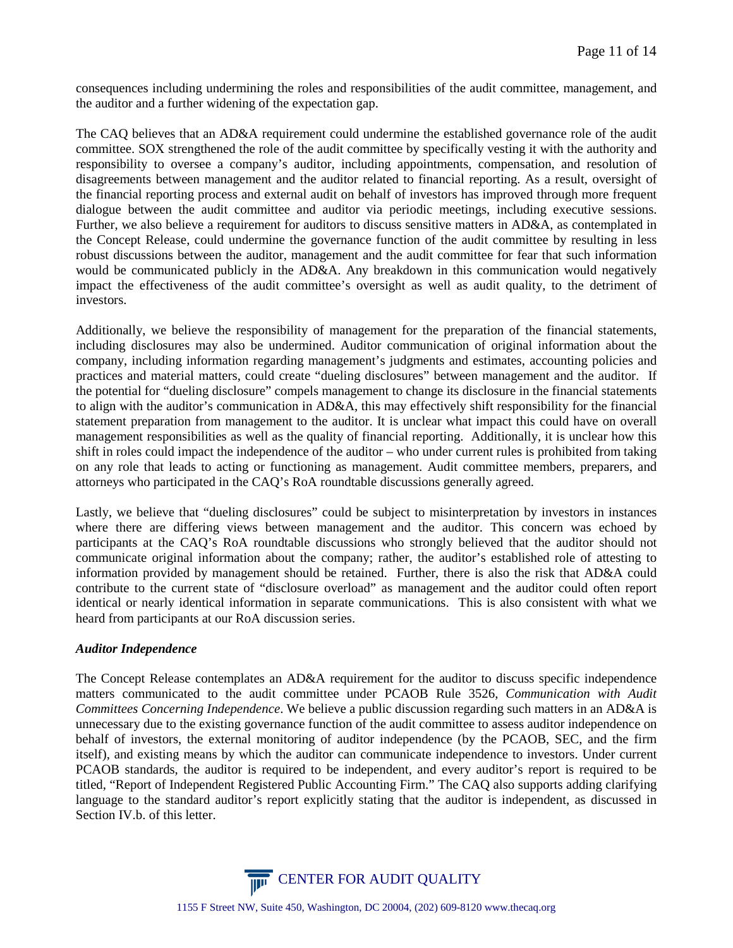consequences including undermining the roles and responsibilities of the audit committee, management, and the auditor and a further widening of the expectation gap.

The CAQ believes that an AD&A requirement could undermine the established governance role of the audit committee. SOX strengthened the role of the audit committee by specifically vesting it with the authority and responsibility to oversee a company's auditor, including appointments, compensation, and resolution of disagreements between management and the auditor related to financial reporting. As a result, oversight of the financial reporting process and external audit on behalf of investors has improved through more frequent dialogue between the audit committee and auditor via periodic meetings, including executive sessions. Further, we also believe a requirement for auditors to discuss sensitive matters in AD&A, as contemplated in the Concept Release, could undermine the governance function of the audit committee by resulting in less robust discussions between the auditor, management and the audit committee for fear that such information would be communicated publicly in the AD&A. Any breakdown in this communication would negatively impact the effectiveness of the audit committee's oversight as well as audit quality, to the detriment of investors.

Additionally, we believe the responsibility of management for the preparation of the financial statements, including disclosures may also be undermined. Auditor communication of original information about the company, including information regarding management's judgments and estimates, accounting policies and practices and material matters, could create "dueling disclosures" between management and the auditor. If the potential for "dueling disclosure" compels management to change its disclosure in the financial statements to align with the auditor's communication in AD&A, this may effectively shift responsibility for the financial statement preparation from management to the auditor. It is unclear what impact this could have on overall management responsibilities as well as the quality of financial reporting. Additionally, it is unclear how this shift in roles could impact the independence of the auditor – who under current rules is prohibited from taking on any role that leads to acting or functioning as management. Audit committee members, preparers, and attorneys who participated in the CAQ's RoA roundtable discussions generally agreed.

Lastly, we believe that "dueling disclosures" could be subject to misinterpretation by investors in instances where there are differing views between management and the auditor. This concern was echoed by participants at the CAQ's RoA roundtable discussions who strongly believed that the auditor should not communicate original information about the company; rather, the auditor's established role of attesting to information provided by management should be retained. Further, there is also the risk that AD&A could contribute to the current state of "disclosure overload" as management and the auditor could often report identical or nearly identical information in separate communications. This is also consistent with what we heard from participants at our RoA discussion series.

## *Auditor Independence*

The Concept Release contemplates an AD&A requirement for the auditor to discuss specific independence matters communicated to the audit committee under PCAOB Rule 3526, *Communication with Audit Committees Concerning Independence*. We believe a public discussion regarding such matters in an AD&A is unnecessary due to the existing governance function of the audit committee to assess auditor independence on behalf of investors, the external monitoring of auditor independence (by the PCAOB, SEC, and the firm itself), and existing means by which the auditor can communicate independence to investors. Under current PCAOB standards, the auditor is required to be independent, and every auditor's report is required to be titled, "Report of Independent Registered Public Accounting Firm." The CAQ also supports adding clarifying language to the standard auditor's report explicitly stating that the auditor is independent, as discussed in Section IV.b. of this letter.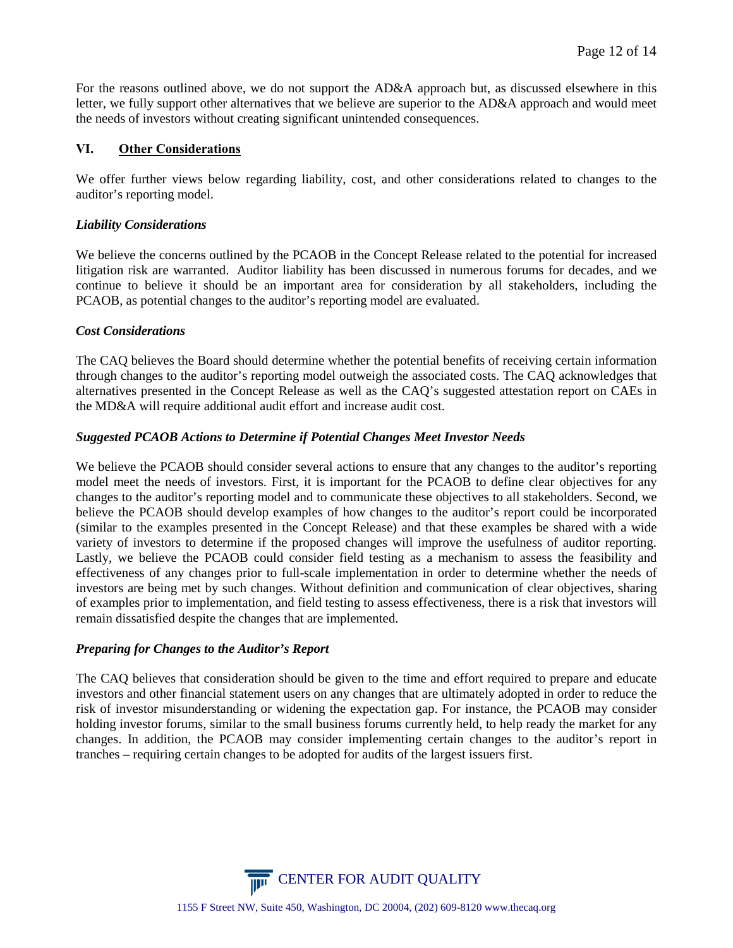For the reasons outlined above, we do not support the AD&A approach but, as discussed elsewhere in this letter, we fully support other alternatives that we believe are superior to the AD&A approach and would meet the needs of investors without creating significant unintended consequences.

## **VI. Other Considerations**

We offer further views below regarding liability, cost, and other considerations related to changes to the auditor's reporting model.

## *Liability Considerations*

We believe the concerns outlined by the PCAOB in the Concept Release related to the potential for increased litigation risk are warranted. Auditor liability has been discussed in numerous forums for decades, and we continue to believe it should be an important area for consideration by all stakeholders, including the PCAOB, as potential changes to the auditor's reporting model are evaluated.

## *Cost Considerations*

The CAQ believes the Board should determine whether the potential benefits of receiving certain information through changes to the auditor's reporting model outweigh the associated costs. The CAQ acknowledges that alternatives presented in the Concept Release as well as the CAQ's suggested attestation report on CAEs in the MD&A will require additional audit effort and increase audit cost.

## *Suggested PCAOB Actions to Determine if Potential Changes Meet Investor Needs*

We believe the PCAOB should consider several actions to ensure that any changes to the auditor's reporting model meet the needs of investors. First, it is important for the PCAOB to define clear objectives for any changes to the auditor's reporting model and to communicate these objectives to all stakeholders. Second, we believe the PCAOB should develop examples of how changes to the auditor's report could be incorporated (similar to the examples presented in the Concept Release) and that these examples be shared with a wide variety of investors to determine if the proposed changes will improve the usefulness of auditor reporting. Lastly, we believe the PCAOB could consider field testing as a mechanism to assess the feasibility and effectiveness of any changes prior to full-scale implementation in order to determine whether the needs of investors are being met by such changes. Without definition and communication of clear objectives, sharing of examples prior to implementation, and field testing to assess effectiveness, there is a risk that investors will remain dissatisfied despite the changes that are implemented.

# *Preparing for Changes to the Auditor's Report*

The CAQ believes that consideration should be given to the time and effort required to prepare and educate investors and other financial statement users on any changes that are ultimately adopted in order to reduce the risk of investor misunderstanding or widening the expectation gap. For instance, the PCAOB may consider holding investor forums, similar to the small business forums currently held, to help ready the market for any changes. In addition, the PCAOB may consider implementing certain changes to the auditor's report in tranches – requiring certain changes to be adopted for audits of the largest issuers first.

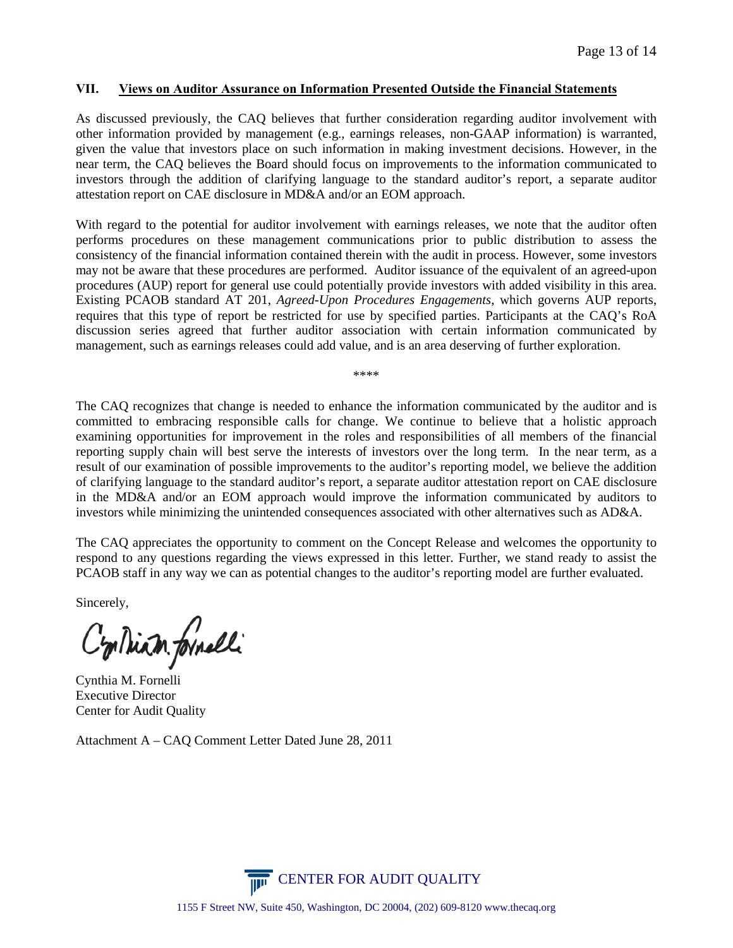#### **VII. Views on Auditor Assurance on Information Presented Outside the Financial Statements**

As discussed previously, the CAQ believes that further consideration regarding auditor involvement with other information provided by management (e.g., earnings releases, non-GAAP information) is warranted, given the value that investors place on such information in making investment decisions. However, in the near term, the CAQ believes the Board should focus on improvements to the information communicated to investors through the addition of clarifying language to the standard auditor's report, a separate auditor attestation report on CAE disclosure in MD&A and/or an EOM approach.

With regard to the potential for auditor involvement with earnings releases, we note that the auditor often performs procedures on these management communications prior to public distribution to assess the consistency of the financial information contained therein with the audit in process. However, some investors may not be aware that these procedures are performed. Auditor issuance of the equivalent of an agreed-upon procedures (AUP) report for general use could potentially provide investors with added visibility in this area. Existing PCAOB standard AT 201, *Agreed-Upon Procedures Engagements*, which governs AUP reports, requires that this type of report be restricted for use by specified parties. Participants at the CAQ's RoA discussion series agreed that further auditor association with certain information communicated by management, such as earnings releases could add value, and is an area deserving of further exploration.

\*\*\*\*

The CAQ recognizes that change is needed to enhance the information communicated by the auditor and is committed to embracing responsible calls for change. We continue to believe that a holistic approach examining opportunities for improvement in the roles and responsibilities of all members of the financial reporting supply chain will best serve the interests of investors over the long term. In the near term, as a result of our examination of possible improvements to the auditor's reporting model, we believe the addition of clarifying language to the standard auditor's report, a separate auditor attestation report on CAE disclosure in the MD&A and/or an EOM approach would improve the information communicated by auditors to investors while minimizing the unintended consequences associated with other alternatives such as AD&A.

The CAQ appreciates the opportunity to comment on the Concept Release and welcomes the opportunity to respond to any questions regarding the views expressed in this letter. Further, we stand ready to assist the PCAOB staff in any way we can as potential changes to the auditor's reporting model are further evaluated.

Sincerely,

Cyriliam formelli

Cynthia M. Fornelli Executive Director Center for Audit Quality

Attachment A – CAQ Comment Letter Dated June 28, 2011

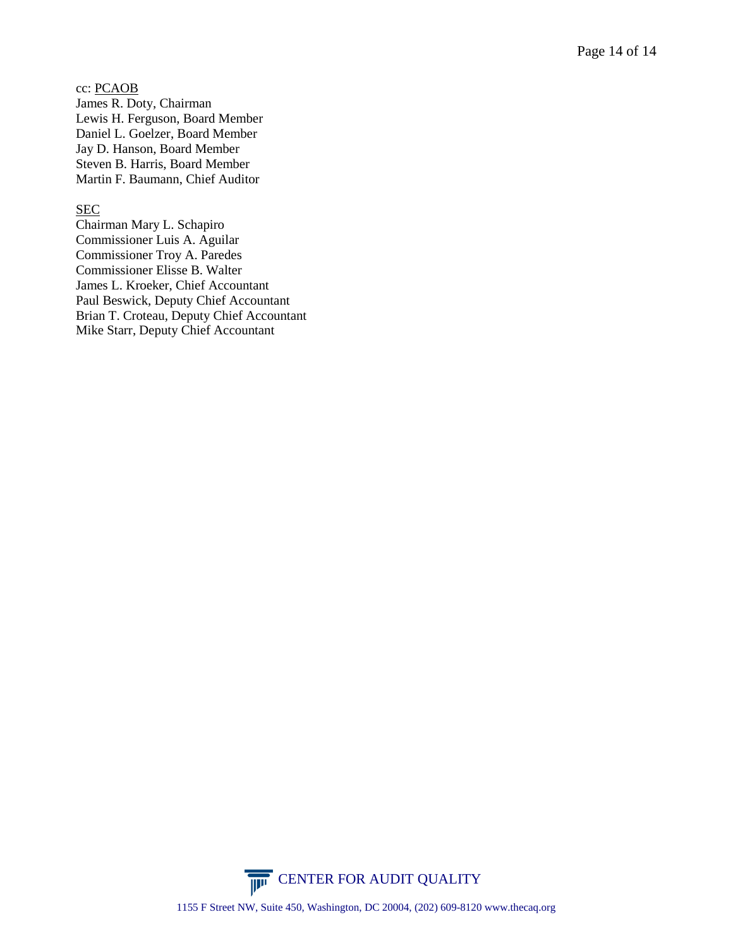cc: PCAOB James R. Doty, Chairman Lewis H. Ferguson, Board Member Daniel L. Goelzer, Board Member Jay D. Hanson, Board Member Steven B. Harris, Board Member Martin F. Baumann, Chief Auditor

#### SEC

Chairman Mary L. Schapiro Commissioner Luis A. Aguilar Commissioner Troy A. Paredes Commissioner Elisse B. Walter James L. Kroeker, Chief Accountant Paul Beswick, Deputy Chief Accountant Brian T. Croteau, Deputy Chief Accountant Mike Starr, Deputy Chief Accountant

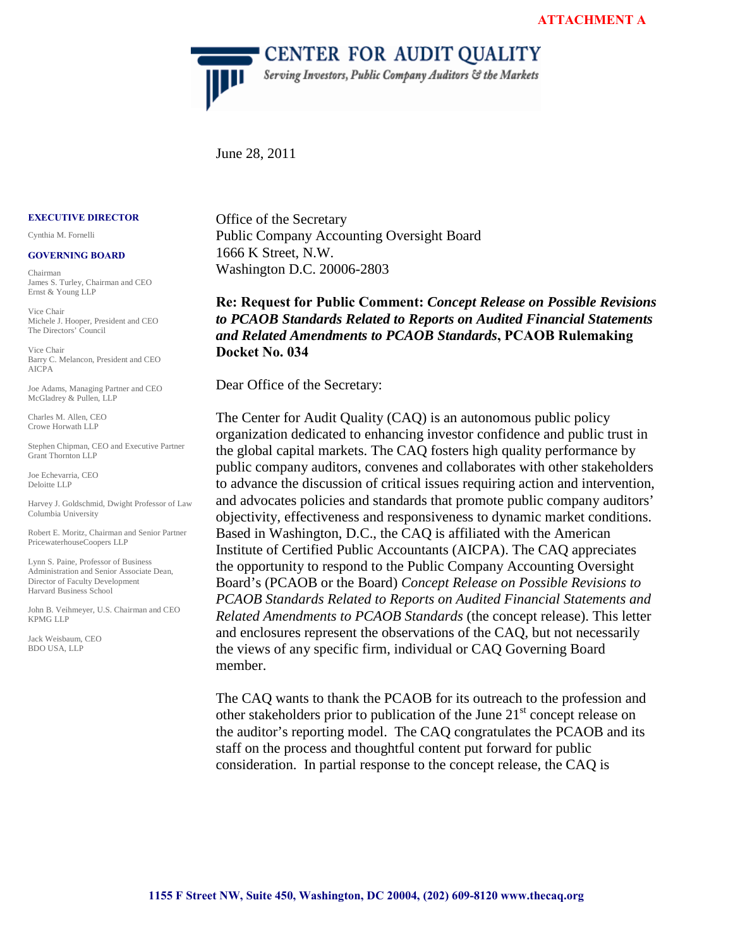**CENTER FOR AUDIT QUALITY** 

Serving Investors, Public Company Auditors & the Markets

June 28, 2011

 $\overline{\mathbb{P}}$ 

#### **EXECUTIVE DIRECTOR**

Cynthia M. Fornelli

#### **GOVERNING BOARD**

Chairman James S. Turley, Chairman and CEO Ernst & Young LLP

Vice Chair Michele J. Hooper, President and CEO The Directors' Council

Vice Chair Barry C. Melancon, President and CEO AICPA

Joe Adams, Managing Partner and CEO McGladrey & Pullen, LLP

Charles M. Allen, CEO Crowe Horwath LLP

Stephen Chipman, CEO and Executive Partner Grant Thornton LLP

Joe Echevarria, CEO Deloitte LLP

Harvey J. Goldschmid, Dwight Professor of Law Columbia University

Robert E. Moritz, Chairman and Senior Partner PricewaterhouseCoopers LLP

Lynn S. Paine, Professor of Business Administration and Senior Associate Dean, Director of Faculty Development Harvard Business School

John B. Veihmeyer, U.S. Chairman and CEO KPMG LLP

Jack Weisbaum, CEO BDO USA, LLP

Office of the Secretary Public Company Accounting Oversight Board 1666 K Street, N.W. Washington D.C. 20006-2803

**Re: Request for Public Comment:** *Concept Release on Possible Revisions to PCAOB Standards Related to Reports on Audited Financial Statements and Related Amendments to PCAOB Standards***, PCAOB Rulemaking Docket No. 034** 

Dear Office of the Secretary:

The Center for Audit Quality (CAQ) is an autonomous public policy organization dedicated to enhancing investor confidence and public trust in the global capital markets. The CAQ fosters high quality performance by public company auditors, convenes and collaborates with other stakeholders to advance the discussion of critical issues requiring action and intervention, and advocates policies and standards that promote public company auditors' objectivity, effectiveness and responsiveness to dynamic market conditions. Based in Washington, D.C., the CAQ is affiliated with the American Institute of Certified Public Accountants (AICPA). The CAQ appreciates the opportunity to respond to the Public Company Accounting Oversight Board's (PCAOB or the Board) *Concept Release on Possible Revisions to PCAOB Standards Related to Reports on Audited Financial Statements and Related Amendments to PCAOB Standards* (the concept release). This letter and enclosures represent the observations of the CAQ, but not necessarily the views of any specific firm, individual or CAQ Governing Board member.

The CAQ wants to thank the PCAOB for its outreach to the profession and other stakeholders prior to publication of the June  $21<sup>st</sup>$  concept release on the auditor's reporting model. The CAQ congratulates the PCAOB and its staff on the process and thoughtful content put forward for public consideration. In partial response to the concept release, the CAQ is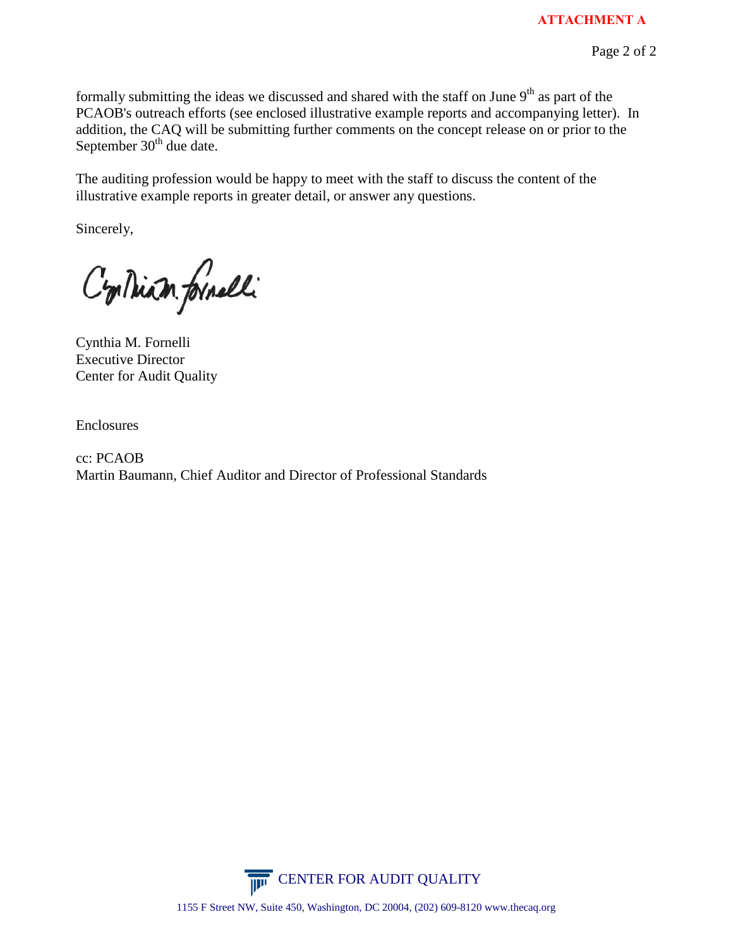formally submitting the ideas we discussed and shared with the staff on June  $9<sup>th</sup>$  as part of the PCAOB's outreach efforts (see enclosed illustrative example reports and accompanying letter). In addition, the CAQ will be submitting further comments on the concept release on or prior to the September  $30<sup>th</sup>$  due date.

The auditing profession would be happy to meet with the staff to discuss the content of the illustrative example reports in greater detail, or answer any questions.

Sincerely,

Continum formelli

Cynthia M. Fornelli Executive Director Center for Audit Quality

Enclosures

cc: PCAOB Martin Baumann, Chief Auditor and Director of Professional Standards

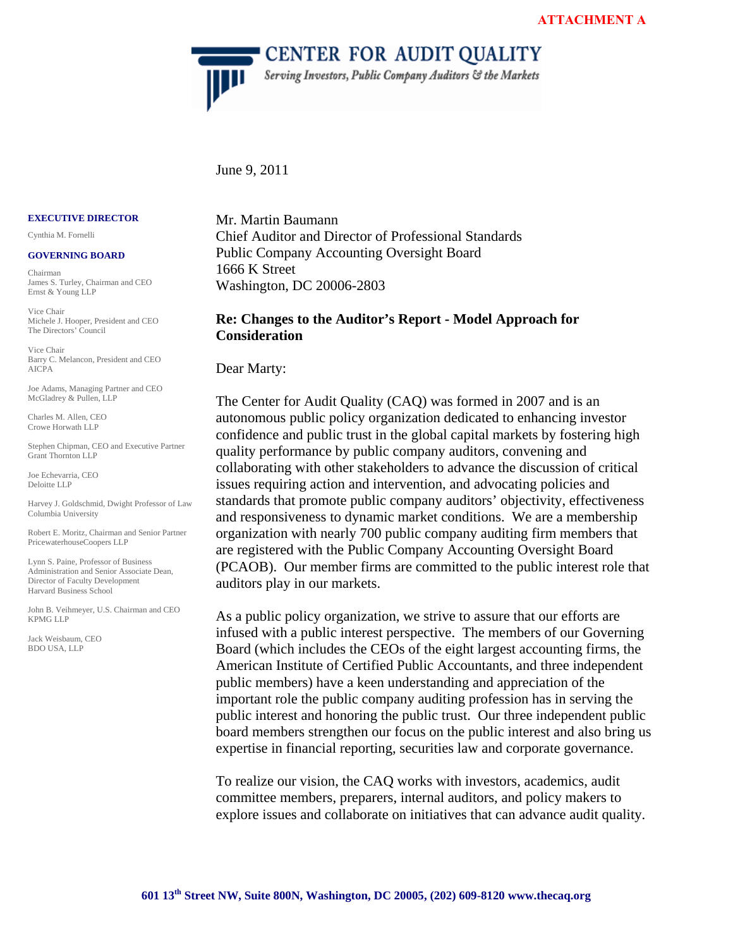**CENTER FOR AUDIT QUALITY** 

Serving Investors, Public Company Auditors & the Markets

#### June 9, 2011

 $\overline{\mathbf{H}^{\mathbf{H}}}$ 

#### **EXECUTIVE DIRECTOR**

Cynthia M. Fornelli

#### **GOVERNING BOARD**

Chairman James S. Turley, Chairman and CEO Ernst & Young LLP

Vice Chair Michele J. Hooper, President and CEO The Directors' Council

Vice Chair Barry C. Melancon, President and CEO AICPA

Joe Adams, Managing Partner and CEO McGladrey & Pullen, LLP

Charles M. Allen, CEO Crowe Horwath LLP

Stephen Chipman, CEO and Executive Partner Grant Thornton LLP

Joe Echevarria, CEO Deloitte LLP

Harvey J. Goldschmid, Dwight Professor of Law Columbia University

Robert E. Moritz, Chairman and Senior Partner PricewaterhouseCoopers LLP

Lynn S. Paine, Professor of Business Administration and Senior Associate Dean, Director of Faculty Development Harvard Business School

John B. Veihmeyer, U.S. Chairman and CEO KPMG LLP

Jack Weisbaum, CEO BDO USA, LLP

Mr. Martin Baumann Chief Auditor and Director of Professional Standards Public Company Accounting Oversight Board 1666 K Street Washington, DC 20006-2803

#### **Re: Changes to the Auditor's Report - Model Approach for Consideration**

Dear Marty:

The Center for Audit Quality (CAQ) was formed in 2007 and is an autonomous public policy organization dedicated to enhancing investor confidence and public trust in the global capital markets by fostering high quality performance by public company auditors, convening and collaborating with other stakeholders to advance the discussion of critical issues requiring action and intervention, and advocating policies and standards that promote public company auditors' objectivity, effectiveness and responsiveness to dynamic market conditions. We are a membership organization with nearly 700 public company auditing firm members that are registered with the Public Company Accounting Oversight Board (PCAOB). Our member firms are committed to the public interest role that auditors play in our markets.

As a public policy organization, we strive to assure that our efforts are infused with a public interest perspective. The members of our Governing Board (which includes the CEOs of the eight largest accounting firms, the American Institute of Certified Public Accountants, and three independent public members) have a keen understanding and appreciation of the important role the public company auditing profession has in serving the public interest and honoring the public trust. Our three independent public board members strengthen our focus on the public interest and also bring us expertise in financial reporting, securities law and corporate governance.

To realize our vision, the CAQ works with investors, academics, audit committee members, preparers, internal auditors, and policy makers to explore issues and collaborate on initiatives that can advance audit quality.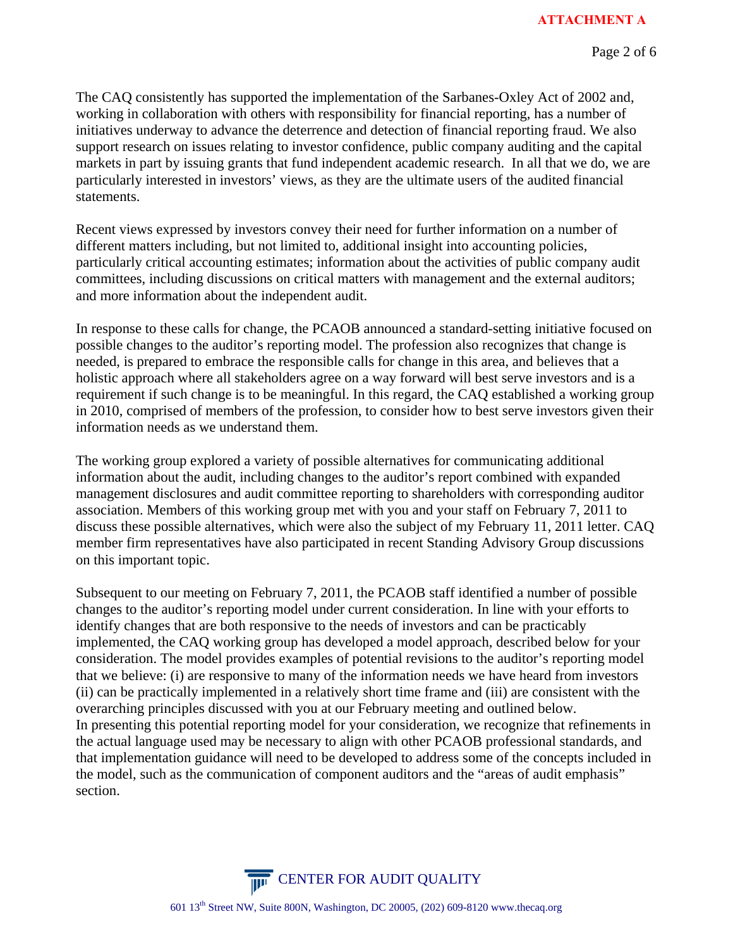The CAQ consistently has supported the implementation of the Sarbanes-Oxley Act of 2002 and, working in collaboration with others with responsibility for financial reporting, has a number of initiatives underway to advance the deterrence and detection of financial reporting fraud. We also support research on issues relating to investor confidence, public company auditing and the capital markets in part by issuing grants that fund independent academic research. In all that we do, we are particularly interested in investors' views, as they are the ultimate users of the audited financial statements.

Recent views expressed by investors convey their need for further information on a number of different matters including, but not limited to, additional insight into accounting policies, particularly critical accounting estimates; information about the activities of public company audit committees, including discussions on critical matters with management and the external auditors; and more information about the independent audit.

In response to these calls for change, the PCAOB announced a standard-setting initiative focused on possible changes to the auditor's reporting model. The profession also recognizes that change is needed, is prepared to embrace the responsible calls for change in this area, and believes that a holistic approach where all stakeholders agree on a way forward will best serve investors and is a requirement if such change is to be meaningful. In this regard, the CAQ established a working group in 2010, comprised of members of the profession, to consider how to best serve investors given their information needs as we understand them.

The working group explored a variety of possible alternatives for communicating additional information about the audit, including changes to the auditor's report combined with expanded management disclosures and audit committee reporting to shareholders with corresponding auditor association. Members of this working group met with you and your staff on February 7, 2011 to discuss these possible alternatives, which were also the subject of my February 11, 2011 letter. CAQ member firm representatives have also participated in recent Standing Advisory Group discussions on this important topic.

Subsequent to our meeting on February 7, 2011, the PCAOB staff identified a number of possible changes to the auditor's reporting model under current consideration. In line with your efforts to identify changes that are both responsive to the needs of investors and can be practicably implemented, the CAQ working group has developed a model approach, described below for your consideration. The model provides examples of potential revisions to the auditor's reporting model that we believe: (i) are responsive to many of the information needs we have heard from investors (ii) can be practically implemented in a relatively short time frame and (iii) are consistent with the overarching principles discussed with you at our February meeting and outlined below. In presenting this potential reporting model for your consideration, we recognize that refinements in the actual language used may be necessary to align with other PCAOB professional standards, and that implementation guidance will need to be developed to address some of the concepts included in the model, such as the communication of component auditors and the "areas of audit emphasis" section.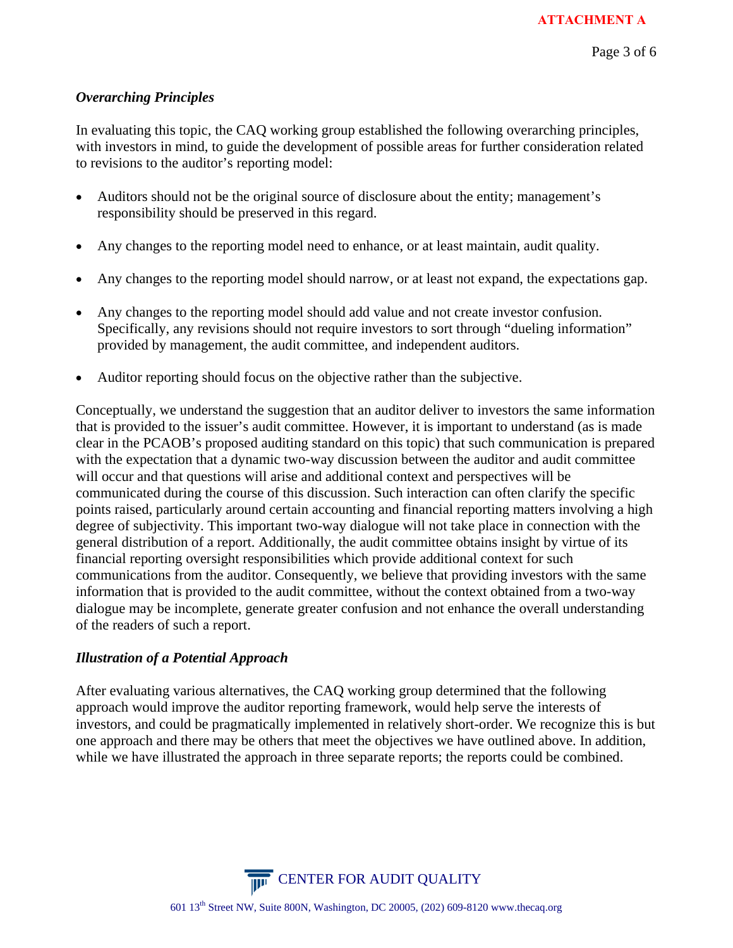## *Overarching Principles*

In evaluating this topic, the CAQ working group established the following overarching principles, with investors in mind, to guide the development of possible areas for further consideration related to revisions to the auditor's reporting model:

- Auditors should not be the original source of disclosure about the entity; management's responsibility should be preserved in this regard.
- Any changes to the reporting model need to enhance, or at least maintain, audit quality.
- Any changes to the reporting model should narrow, or at least not expand, the expectations gap.
- Any changes to the reporting model should add value and not create investor confusion. Specifically, any revisions should not require investors to sort through "dueling information" provided by management, the audit committee, and independent auditors.
- Auditor reporting should focus on the objective rather than the subjective.

Conceptually, we understand the suggestion that an auditor deliver to investors the same information that is provided to the issuer's audit committee. However, it is important to understand (as is made clear in the PCAOB's proposed auditing standard on this topic) that such communication is prepared with the expectation that a dynamic two-way discussion between the auditor and audit committee will occur and that questions will arise and additional context and perspectives will be communicated during the course of this discussion. Such interaction can often clarify the specific points raised, particularly around certain accounting and financial reporting matters involving a high degree of subjectivity. This important two-way dialogue will not take place in connection with the general distribution of a report. Additionally, the audit committee obtains insight by virtue of its financial reporting oversight responsibilities which provide additional context for such communications from the auditor. Consequently, we believe that providing investors with the same information that is provided to the audit committee, without the context obtained from a two-way dialogue may be incomplete, generate greater confusion and not enhance the overall understanding of the readers of such a report.

# *Illustration of a Potential Approach*

After evaluating various alternatives, the CAQ working group determined that the following approach would improve the auditor reporting framework, would help serve the interests of investors, and could be pragmatically implemented in relatively short-order. We recognize this is but one approach and there may be others that meet the objectives we have outlined above. In addition, while we have illustrated the approach in three separate reports; the reports could be combined.

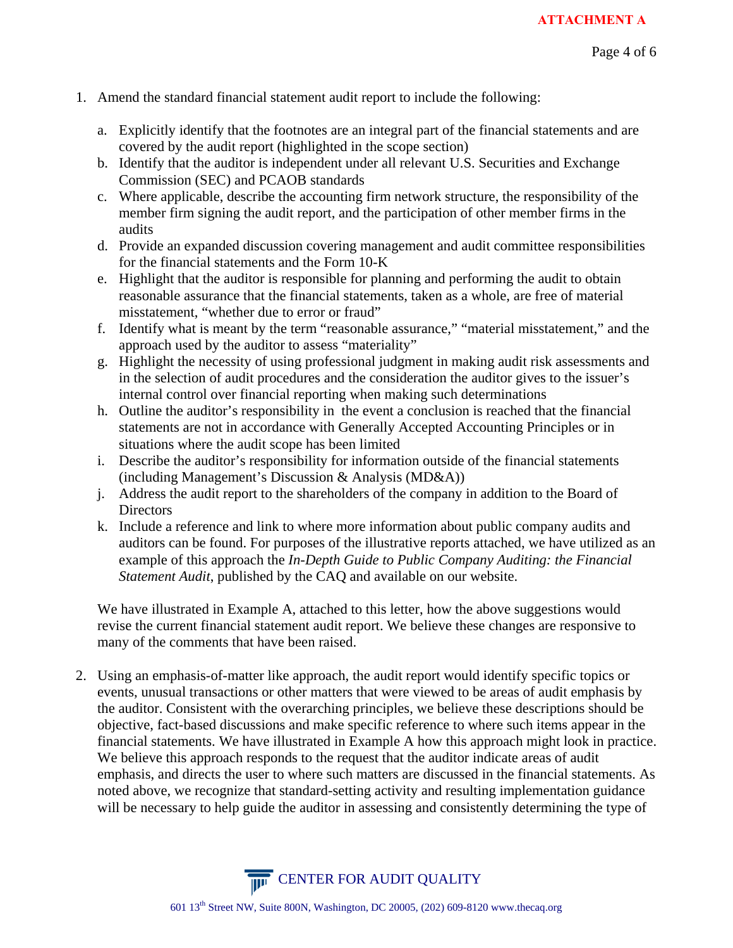- 1. Amend the standard financial statement audit report to include the following:
	- a. Explicitly identify that the footnotes are an integral part of the financial statements and are covered by the audit report (highlighted in the scope section)
	- b. Identify that the auditor is independent under all relevant U.S. Securities and Exchange Commission (SEC) and PCAOB standards
	- c. Where applicable, describe the accounting firm network structure, the responsibility of the member firm signing the audit report, and the participation of other member firms in the audits
	- d. Provide an expanded discussion covering management and audit committee responsibilities for the financial statements and the Form 10-K
	- e. Highlight that the auditor is responsible for planning and performing the audit to obtain reasonable assurance that the financial statements, taken as a whole, are free of material misstatement, "whether due to error or fraud"
	- f. Identify what is meant by the term "reasonable assurance," "material misstatement," and the approach used by the auditor to assess "materiality"
	- g. Highlight the necessity of using professional judgment in making audit risk assessments and in the selection of audit procedures and the consideration the auditor gives to the issuer's internal control over financial reporting when making such determinations
	- h. Outline the auditor's responsibility in the event a conclusion is reached that the financial statements are not in accordance with Generally Accepted Accounting Principles or in situations where the audit scope has been limited
	- i. Describe the auditor's responsibility for information outside of the financial statements (including Management's Discussion & Analysis (MD&A))
	- j. Address the audit report to the shareholders of the company in addition to the Board of **Directors**
	- k. Include a reference and link to where more information about public company audits and auditors can be found. For purposes of the illustrative reports attached, we have utilized as an example of this approach the *In-Depth Guide to Public Company Auditing: the Financial Statement Audit*, published by the CAQ and available on our website.

We have illustrated in Example A, attached to this letter, how the above suggestions would revise the current financial statement audit report. We believe these changes are responsive to many of the comments that have been raised.

2. Using an emphasis-of-matter like approach, the audit report would identify specific topics or events, unusual transactions or other matters that were viewed to be areas of audit emphasis by the auditor. Consistent with the overarching principles, we believe these descriptions should be objective, fact-based discussions and make specific reference to where such items appear in the financial statements. We have illustrated in Example A how this approach might look in practice. We believe this approach responds to the request that the auditor indicate areas of audit emphasis, and directs the user to where such matters are discussed in the financial statements. As noted above, we recognize that standard-setting activity and resulting implementation guidance will be necessary to help guide the auditor in assessing and consistently determining the type of

**CENTER FOR AUDIT QUALITY**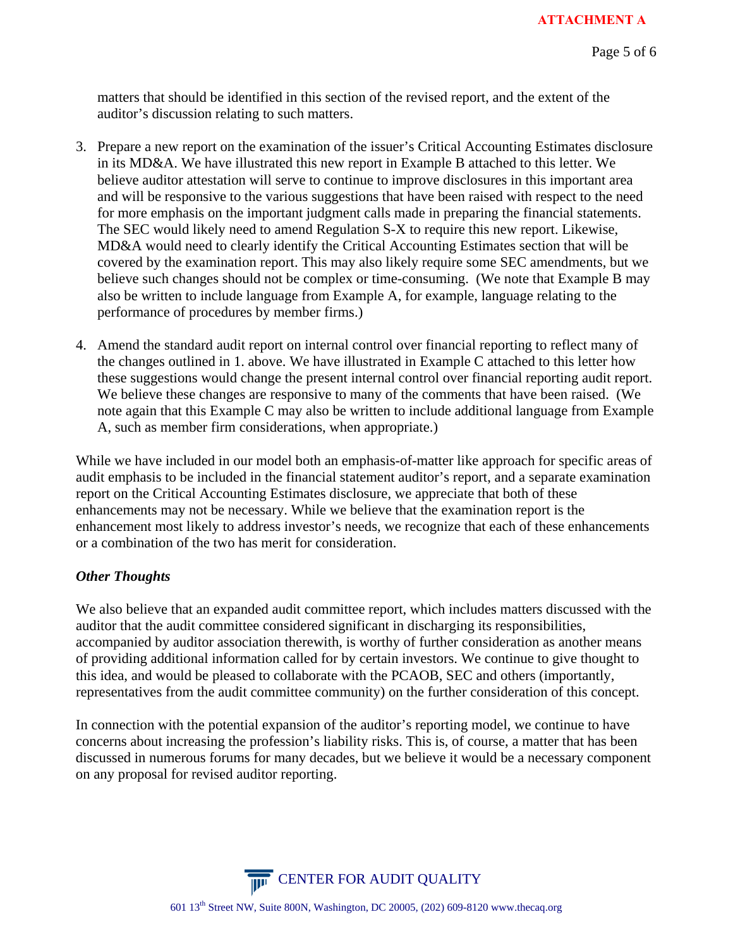matters that should be identified in this section of the revised report, and the extent of the auditor's discussion relating to such matters.

- 3. Prepare a new report on the examination of the issuer's Critical Accounting Estimates disclosure in its MD&A. We have illustrated this new report in Example B attached to this letter. We believe auditor attestation will serve to continue to improve disclosures in this important area and will be responsive to the various suggestions that have been raised with respect to the need for more emphasis on the important judgment calls made in preparing the financial statements. The SEC would likely need to amend Regulation S-X to require this new report. Likewise, MD&A would need to clearly identify the Critical Accounting Estimates section that will be covered by the examination report. This may also likely require some SEC amendments, but we believe such changes should not be complex or time-consuming. (We note that Example B may also be written to include language from Example A, for example, language relating to the performance of procedures by member firms.)
- 4. Amend the standard audit report on internal control over financial reporting to reflect many of the changes outlined in 1. above. We have illustrated in Example C attached to this letter how these suggestions would change the present internal control over financial reporting audit report. We believe these changes are responsive to many of the comments that have been raised. (We note again that this Example C may also be written to include additional language from Example A, such as member firm considerations, when appropriate.)

While we have included in our model both an emphasis-of-matter like approach for specific areas of audit emphasis to be included in the financial statement auditor's report, and a separate examination report on the Critical Accounting Estimates disclosure, we appreciate that both of these enhancements may not be necessary. While we believe that the examination report is the enhancement most likely to address investor's needs, we recognize that each of these enhancements or a combination of the two has merit for consideration.

## *Other Thoughts*

We also believe that an expanded audit committee report, which includes matters discussed with the auditor that the audit committee considered significant in discharging its responsibilities, accompanied by auditor association therewith, is worthy of further consideration as another means of providing additional information called for by certain investors. We continue to give thought to this idea, and would be pleased to collaborate with the PCAOB, SEC and others (importantly, representatives from the audit committee community) on the further consideration of this concept.

In connection with the potential expansion of the auditor's reporting model, we continue to have concerns about increasing the profession's liability risks. This is, of course, a matter that has been discussed in numerous forums for many decades, but we believe it would be a necessary component on any proposal for revised auditor reporting.

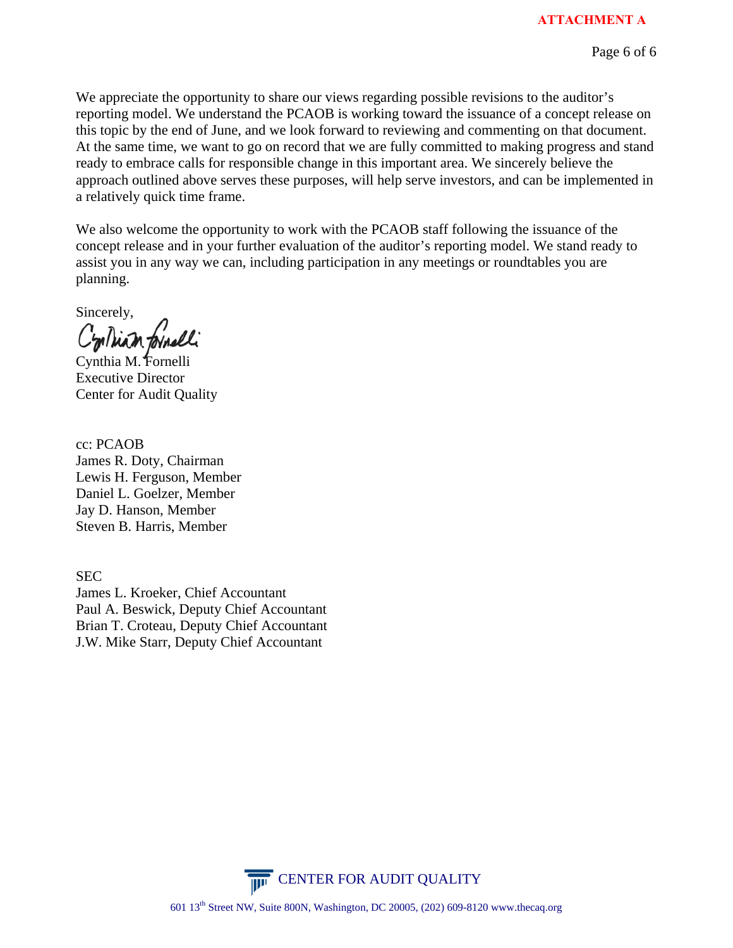We appreciate the opportunity to share our views regarding possible revisions to the auditor's reporting model. We understand the PCAOB is working toward the issuance of a concept release on this topic by the end of June, and we look forward to reviewing and commenting on that document. At the same time, we want to go on record that we are fully committed to making progress and stand ready to embrace calls for responsible change in this important area. We sincerely believe the approach outlined above serves these purposes, will help serve investors, and can be implemented in a relatively quick time frame.

We also welcome the opportunity to work with the PCAOB staff following the issuance of the concept release and in your further evaluation of the auditor's reporting model. We stand ready to assist you in any way we can, including participation in any meetings or roundtables you are planning.

Sincerely,

Contrian formell

Cynthia M. Fornelli Executive Director Center for Audit Quality

cc: PCAOB James R. Doty, Chairman Lewis H. Ferguson, Member Daniel L. Goelzer, Member Jay D. Hanson, Member Steven B. Harris, Member

SEC James L. Kroeker, Chief Accountant Paul A. Beswick, Deputy Chief Accountant Brian T. Croteau, Deputy Chief Accountant J.W. Mike Starr, Deputy Chief Accountant

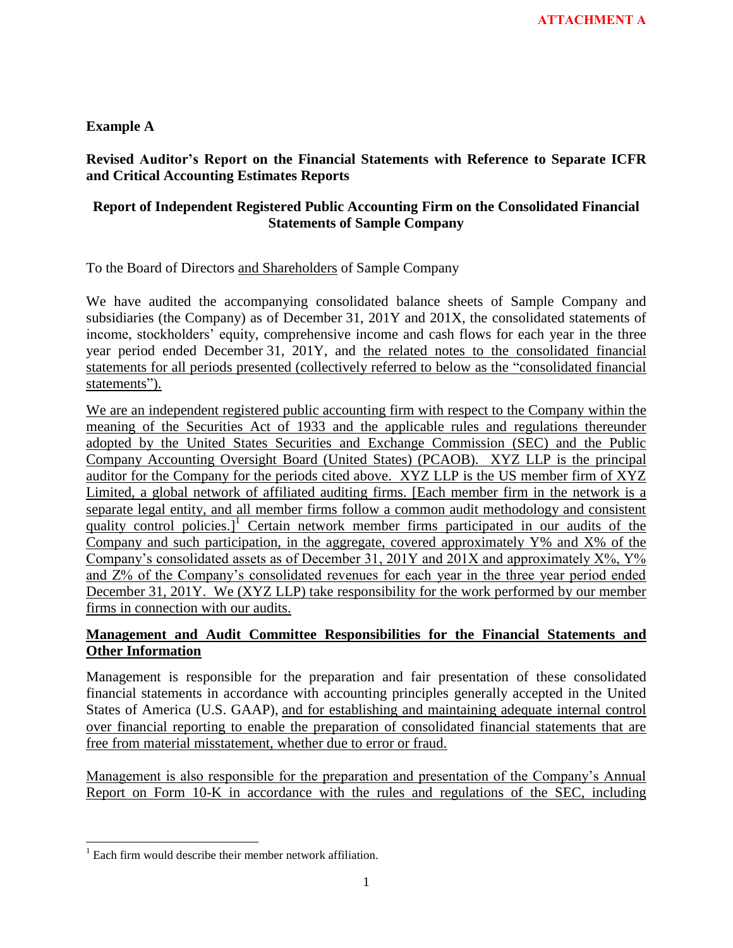**Example A** 

**Revised Auditor's Report on the Financial Statements with Reference to Separate ICFR and Critical Accounting Estimates Reports** 

## **Report of Independent Registered Public Accounting Firm on the Consolidated Financial Statements of Sample Company**

To the Board of Directors and Shareholders of Sample Company

We have audited the accompanying consolidated balance sheets of Sample Company and subsidiaries (the Company) as of December 31, 201Y and 201X, the consolidated statements of income, stockholders' equity, comprehensive income and cash flows for each year in the three year period ended December 31, 201Y, and the related notes to the consolidated financial statements for all periods presented (collectively referred to below as the "consolidated financial statements").

We are an independent registered public accounting firm with respect to the Company within the meaning of the Securities Act of 1933 and the applicable rules and regulations thereunder adopted by the United States Securities and Exchange Commission (SEC) and the Public Company Accounting Oversight Board (United States) (PCAOB). XYZ LLP is the principal auditor for the Company for the periods cited above. XYZ LLP is the US member firm of XYZ Limited, a global network of affiliated auditing firms. [Each member firm in the network is a separate legal entity, and all member firms follow a common audit methodology and consistent quality control policies.]<sup>1</sup> Certain network member firms participated in our audits of the Company and such participation, in the aggregate, covered approximately Y% and X% of the Company's consolidated assets as of December 31, 201Y and 201X and approximately  $X\%$ ,  $Y\%$ and Z% of the Company"s consolidated revenues for each year in the three year period ended December 31, 201Y. We (XYZ LLP) take responsibility for the work performed by our member firms in connection with our audits.

# **Management and Audit Committee Responsibilities for the Financial Statements and Other Information**

Management is responsible for the preparation and fair presentation of these consolidated financial statements in accordance with accounting principles generally accepted in the United States of America (U.S. GAAP), and for establishing and maintaining adequate internal control over financial reporting to enable the preparation of consolidated financial statements that are free from material misstatement, whether due to error or fraud.

Management is also responsible for the preparation and presentation of the Company"s Annual Report on Form 10-K in accordance with the rules and regulations of the SEC, including

 $\overline{\phantom{a}}$ <sup>1</sup> Each firm would describe their member network affiliation.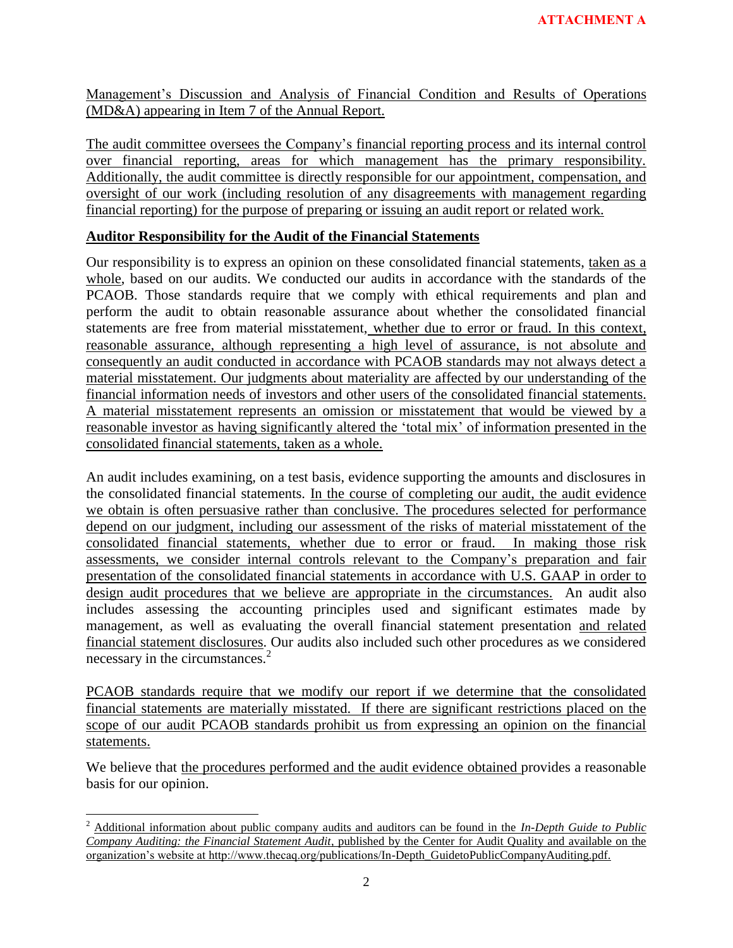Management"s Discussion and Analysis of Financial Condition and Results of Operations (MD&A) appearing in Item 7 of the Annual Report.

The audit committee oversees the Company"s financial reporting process and its internal control over financial reporting, areas for which management has the primary responsibility. Additionally, the audit committee is directly responsible for our appointment, compensation, and oversight of our work (including resolution of any disagreements with management regarding financial reporting) for the purpose of preparing or issuing an audit report or related work.

## **Auditor Responsibility for the Audit of the Financial Statements**

Our responsibility is to express an opinion on these consolidated financial statements, taken as a whole, based on our audits. We conducted our audits in accordance with the standards of the PCAOB. Those standards require that we comply with ethical requirements and plan and perform the audit to obtain reasonable assurance about whether the consolidated financial statements are free from material misstatement, whether due to error or fraud. In this context, reasonable assurance, although representing a high level of assurance, is not absolute and consequently an audit conducted in accordance with PCAOB standards may not always detect a material misstatement. Our judgments about materiality are affected by our understanding of the financial information needs of investors and other users of the consolidated financial statements. A material misstatement represents an omission or misstatement that would be viewed by a reasonable investor as having significantly altered the "total mix" of information presented in the consolidated financial statements, taken as a whole.

An audit includes examining, on a test basis, evidence supporting the amounts and disclosures in the consolidated financial statements. In the course of completing our audit, the audit evidence we obtain is often persuasive rather than conclusive. The procedures selected for performance depend on our judgment, including our assessment of the risks of material misstatement of the consolidated financial statements, whether due to error or fraud. In making those risk assessments, we consider internal controls relevant to the Company"s preparation and fair presentation of the consolidated financial statements in accordance with U.S. GAAP in order to design audit procedures that we believe are appropriate in the circumstances. An audit also includes assessing the accounting principles used and significant estimates made by management, as well as evaluating the overall financial statement presentation and related financial statement disclosures. Our audits also included such other procedures as we considered necessary in the circumstances.<sup>2</sup>

PCAOB standards require that we modify our report if we determine that the consolidated financial statements are materially misstated. If there are significant restrictions placed on the scope of our audit PCAOB standards prohibit us from expressing an opinion on the financial statements.

We believe that the procedures performed and the audit evidence obtained provides a reasonable basis for our opinion.

l

<sup>&</sup>lt;sup>2</sup> Additional information about public company audits and auditors can be found in the *In-Depth Guide to Public Company Auditing: the Financial Statement Audit*, published by the Center for Audit Quality and available on the organization"s website at http://www.thecaq.org/publications/In-Depth\_GuidetoPublicCompanyAuditing.pdf.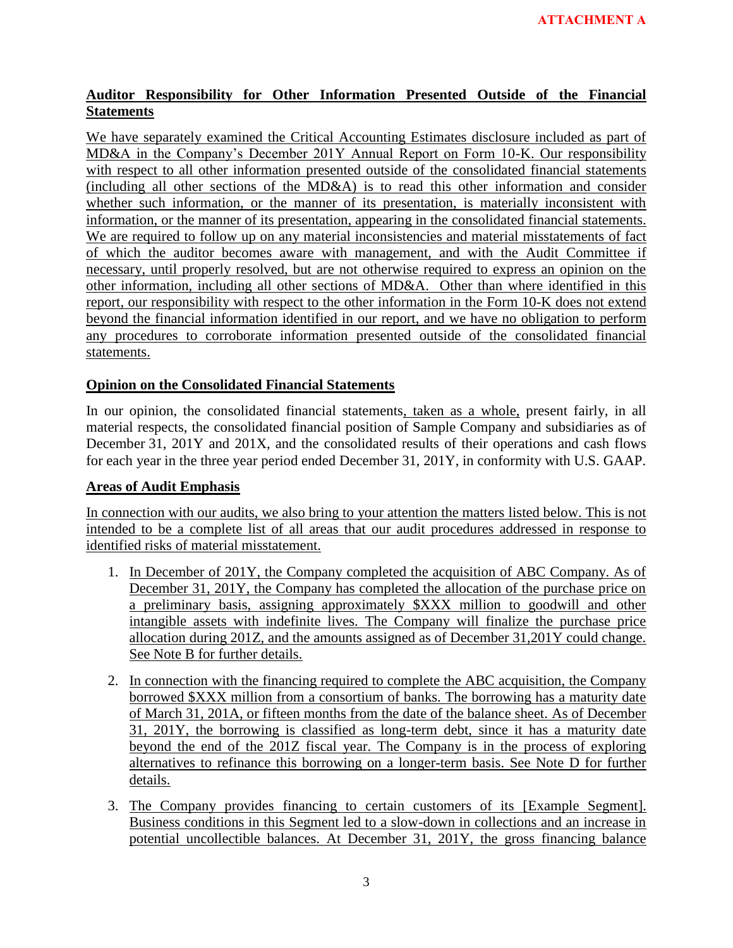# **Auditor Responsibility for Other Information Presented Outside of the Financial Statements**

We have separately examined the Critical Accounting Estimates disclosure included as part of MD&A in the Company"s December 201Y Annual Report on Form 10-K. Our responsibility with respect to all other information presented outside of the consolidated financial statements (including all other sections of the MD&A) is to read this other information and consider whether such information, or the manner of its presentation, is materially inconsistent with information, or the manner of its presentation, appearing in the consolidated financial statements. We are required to follow up on any material inconsistencies and material misstatements of fact of which the auditor becomes aware with management, and with the Audit Committee if necessary, until properly resolved, but are not otherwise required to express an opinion on the other information, including all other sections of MD&A. Other than where identified in this report, our responsibility with respect to the other information in the Form 10-K does not extend beyond the financial information identified in our report, and we have no obligation to perform any procedures to corroborate information presented outside of the consolidated financial statements.

# **Opinion on the Consolidated Financial Statements**

In our opinion, the consolidated financial statements, taken as a whole, present fairly, in all material respects, the consolidated financial position of Sample Company and subsidiaries as of December 31, 201Y and 201X, and the consolidated results of their operations and cash flows for each year in the three year period ended December 31, 201Y, in conformity with U.S. GAAP.

# **Areas of Audit Emphasis**

In connection with our audits, we also bring to your attention the matters listed below. This is not intended to be a complete list of all areas that our audit procedures addressed in response to identified risks of material misstatement.

- 1. In December of 201Y, the Company completed the acquisition of ABC Company. As of December 31, 201Y, the Company has completed the allocation of the purchase price on a preliminary basis, assigning approximately \$XXX million to goodwill and other intangible assets with indefinite lives. The Company will finalize the purchase price allocation during 201Z, and the amounts assigned as of December 31,201Y could change. See Note B for further details.
- 2. In connection with the financing required to complete the ABC acquisition, the Company borrowed \$XXX million from a consortium of banks. The borrowing has a maturity date of March 31, 201A, or fifteen months from the date of the balance sheet. As of December 31, 201Y, the borrowing is classified as long-term debt, since it has a maturity date beyond the end of the 201Z fiscal year. The Company is in the process of exploring alternatives to refinance this borrowing on a longer-term basis. See Note D for further details.
- 3. The Company provides financing to certain customers of its [Example Segment]. Business conditions in this Segment led to a slow-down in collections and an increase in potential uncollectible balances. At December 31, 201Y, the gross financing balance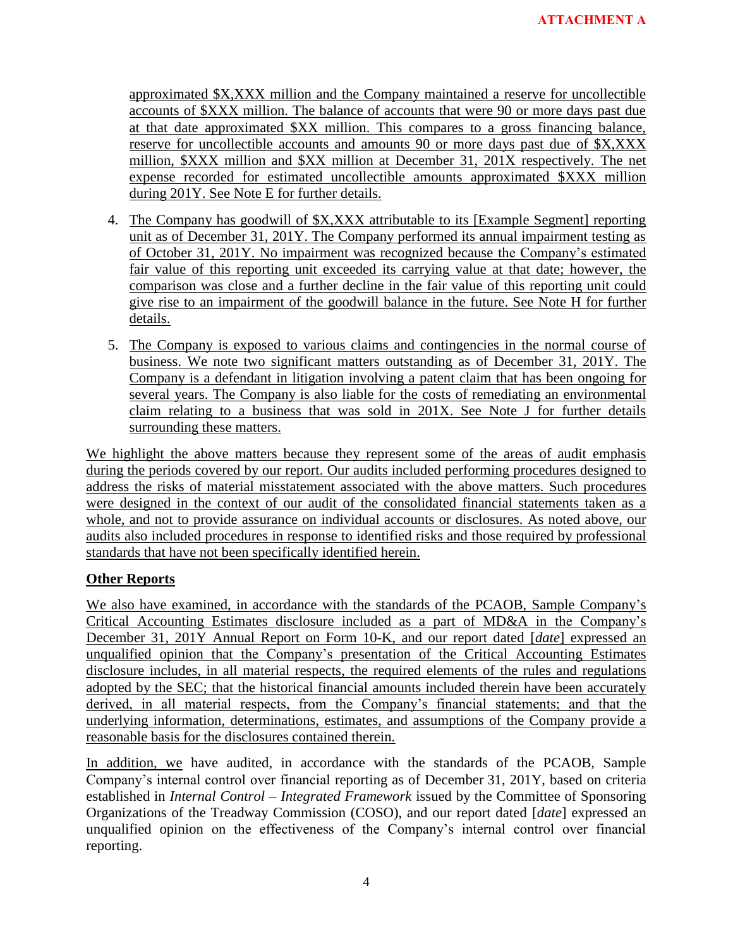approximated \$X,XXX million and the Company maintained a reserve for uncollectible accounts of \$XXX million. The balance of accounts that were 90 or more days past due at that date approximated \$XX million. This compares to a gross financing balance, reserve for uncollectible accounts and amounts 90 or more days past due of \$X,XXX million, \$XXX million and \$XX million at December 31, 201X respectively. The net expense recorded for estimated uncollectible amounts approximated \$XXX million during 201Y. See Note E for further details.

- 4. The Company has goodwill of \$X,XXX attributable to its [Example Segment] reporting unit as of December 31, 201Y. The Company performed its annual impairment testing as of October 31, 201Y. No impairment was recognized because the Company"s estimated fair value of this reporting unit exceeded its carrying value at that date; however, the comparison was close and a further decline in the fair value of this reporting unit could give rise to an impairment of the goodwill balance in the future. See Note H for further details.
- 5. The Company is exposed to various claims and contingencies in the normal course of business. We note two significant matters outstanding as of December 31, 201Y. The Company is a defendant in litigation involving a patent claim that has been ongoing for several years. The Company is also liable for the costs of remediating an environmental claim relating to a business that was sold in 201X. See Note J for further details surrounding these matters.

We highlight the above matters because they represent some of the areas of audit emphasis during the periods covered by our report. Our audits included performing procedures designed to address the risks of material misstatement associated with the above matters. Such procedures were designed in the context of our audit of the consolidated financial statements taken as a whole, and not to provide assurance on individual accounts or disclosures. As noted above, our audits also included procedures in response to identified risks and those required by professional standards that have not been specifically identified herein.

# **Other Reports**

We also have examined, in accordance with the standards of the PCAOB, Sample Company's Critical Accounting Estimates disclosure included as a part of MD&A in the Company"s December 31, 201Y Annual Report on Form 10-K, and our report dated [*date*] expressed an unqualified opinion that the Company"s presentation of the Critical Accounting Estimates disclosure includes, in all material respects, the required elements of the rules and regulations adopted by the SEC; that the historical financial amounts included therein have been accurately derived, in all material respects, from the Company"s financial statements; and that the underlying information, determinations, estimates, and assumptions of the Company provide a reasonable basis for the disclosures contained therein.

In addition, we have audited, in accordance with the standards of the PCAOB, Sample Company"s internal control over financial reporting as of December 31, 201Y, based on criteria established in *Internal Control – Integrated Framework* issued by the Committee of Sponsoring Organizations of the Treadway Commission (COSO), and our report dated [*date*] expressed an unqualified opinion on the effectiveness of the Company"s internal control over financial reporting.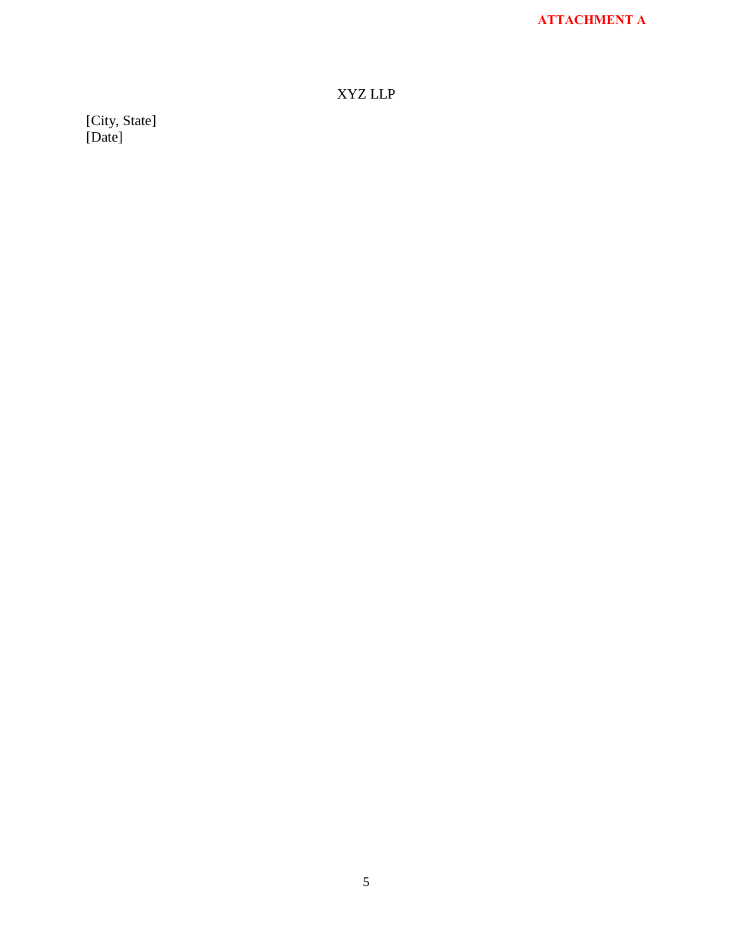# XYZ LLP

[City, State] [Date]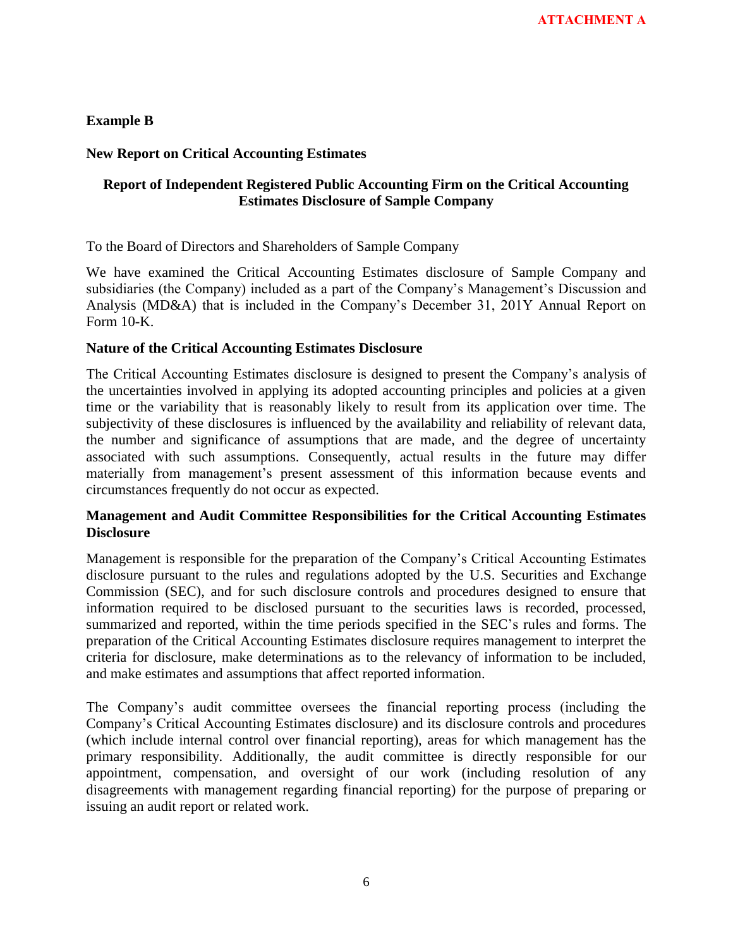**Example B** 

## **New Report on Critical Accounting Estimates**

## **Report of Independent Registered Public Accounting Firm on the Critical Accounting Estimates Disclosure of Sample Company**

To the Board of Directors and Shareholders of Sample Company

We have examined the Critical Accounting Estimates disclosure of Sample Company and subsidiaries (the Company) included as a part of the Company's Management's Discussion and Analysis (MD&A) that is included in the Company"s December 31, 201Y Annual Report on Form 10-K.

## **Nature of the Critical Accounting Estimates Disclosure**

The Critical Accounting Estimates disclosure is designed to present the Company"s analysis of the uncertainties involved in applying its adopted accounting principles and policies at a given time or the variability that is reasonably likely to result from its application over time. The subjectivity of these disclosures is influenced by the availability and reliability of relevant data, the number and significance of assumptions that are made, and the degree of uncertainty associated with such assumptions. Consequently, actual results in the future may differ materially from management's present assessment of this information because events and circumstances frequently do not occur as expected.

## **Management and Audit Committee Responsibilities for the Critical Accounting Estimates Disclosure**

Management is responsible for the preparation of the Company"s Critical Accounting Estimates disclosure pursuant to the rules and regulations adopted by the U.S. Securities and Exchange Commission (SEC), and for such disclosure controls and procedures designed to ensure that information required to be disclosed pursuant to the securities laws is recorded, processed, summarized and reported, within the time periods specified in the SEC"s rules and forms. The preparation of the Critical Accounting Estimates disclosure requires management to interpret the criteria for disclosure, make determinations as to the relevancy of information to be included, and make estimates and assumptions that affect reported information.

The Company"s audit committee oversees the financial reporting process (including the Company"s Critical Accounting Estimates disclosure) and its disclosure controls and procedures (which include internal control over financial reporting), areas for which management has the primary responsibility. Additionally, the audit committee is directly responsible for our appointment, compensation, and oversight of our work (including resolution of any disagreements with management regarding financial reporting) for the purpose of preparing or issuing an audit report or related work.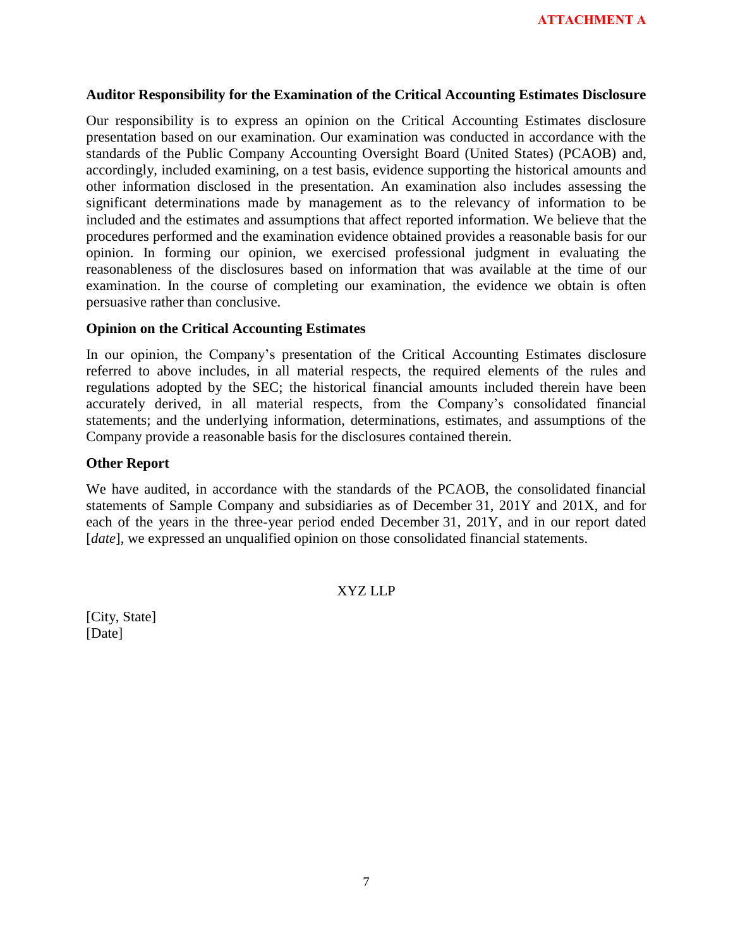#### **Auditor Responsibility for the Examination of the Critical Accounting Estimates Disclosure**

Our responsibility is to express an opinion on the Critical Accounting Estimates disclosure presentation based on our examination. Our examination was conducted in accordance with the standards of the Public Company Accounting Oversight Board (United States) (PCAOB) and, accordingly, included examining, on a test basis, evidence supporting the historical amounts and other information disclosed in the presentation. An examination also includes assessing the significant determinations made by management as to the relevancy of information to be included and the estimates and assumptions that affect reported information. We believe that the procedures performed and the examination evidence obtained provides a reasonable basis for our opinion. In forming our opinion, we exercised professional judgment in evaluating the reasonableness of the disclosures based on information that was available at the time of our examination. In the course of completing our examination, the evidence we obtain is often persuasive rather than conclusive.

#### **Opinion on the Critical Accounting Estimates**

In our opinion, the Company's presentation of the Critical Accounting Estimates disclosure referred to above includes, in all material respects, the required elements of the rules and regulations adopted by the SEC; the historical financial amounts included therein have been accurately derived, in all material respects, from the Company"s consolidated financial statements; and the underlying information, determinations, estimates, and assumptions of the Company provide a reasonable basis for the disclosures contained therein.

#### **Other Report**

We have audited, in accordance with the standards of the PCAOB, the consolidated financial statements of Sample Company and subsidiaries as of December 31, 201Y and 201X, and for each of the years in the three-year period ended December 31, 201Y, and in our report dated [*date*], we expressed an unqualified opinion on those consolidated financial statements.

#### XYZ LLP

[City, State] [Date]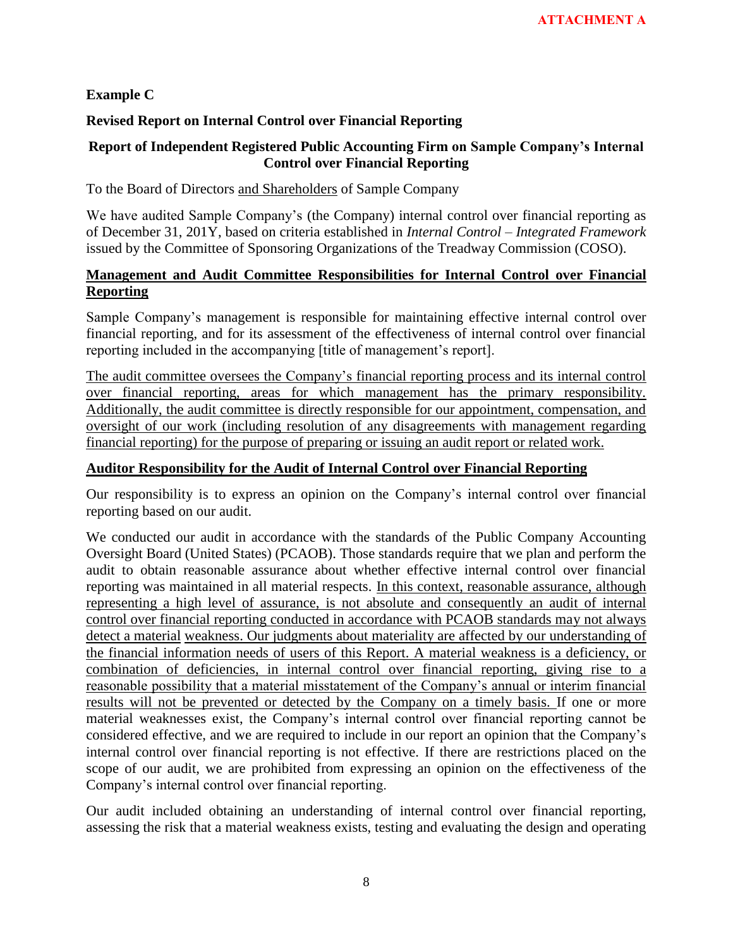## **Example C**

## **Revised Report on Internal Control over Financial Reporting**

## **Report of Independent Registered Public Accounting Firm on Sample Company's Internal Control over Financial Reporting**

To the Board of Directors and Shareholders of Sample Company

We have audited Sample Company"s (the Company) internal control over financial reporting as of December 31, 201Y, based on criteria established in *Internal Control – Integrated Framework* issued by the Committee of Sponsoring Organizations of the Treadway Commission (COSO).

# **Management and Audit Committee Responsibilities for Internal Control over Financial Reporting**

Sample Company"s management is responsible for maintaining effective internal control over financial reporting, and for its assessment of the effectiveness of internal control over financial reporting included in the accompanying [title of management's report].

The audit committee oversees the Company"s financial reporting process and its internal control over financial reporting, areas for which management has the primary responsibility. Additionally, the audit committee is directly responsible for our appointment, compensation, and oversight of our work (including resolution of any disagreements with management regarding financial reporting) for the purpose of preparing or issuing an audit report or related work.

## **Auditor Responsibility for the Audit of Internal Control over Financial Reporting**

Our responsibility is to express an opinion on the Company"s internal control over financial reporting based on our audit.

We conducted our audit in accordance with the standards of the Public Company Accounting Oversight Board (United States) (PCAOB). Those standards require that we plan and perform the audit to obtain reasonable assurance about whether effective internal control over financial reporting was maintained in all material respects. In this context, reasonable assurance, although representing a high level of assurance, is not absolute and consequently an audit of internal control over financial reporting conducted in accordance with PCAOB standards may not always detect a material weakness. Our judgments about materiality are affected by our understanding of the financial information needs of users of this Report. A material weakness is a deficiency, or combination of deficiencies, in internal control over financial reporting, giving rise to a reasonable possibility that a material misstatement of the Company"s annual or interim financial results will not be prevented or detected by the Company on a timely basis. If one or more material weaknesses exist, the Company"s internal control over financial reporting cannot be considered effective, and we are required to include in our report an opinion that the Company"s internal control over financial reporting is not effective. If there are restrictions placed on the scope of our audit, we are prohibited from expressing an opinion on the effectiveness of the Company"s internal control over financial reporting.

Our audit included obtaining an understanding of internal control over financial reporting, assessing the risk that a material weakness exists, testing and evaluating the design and operating